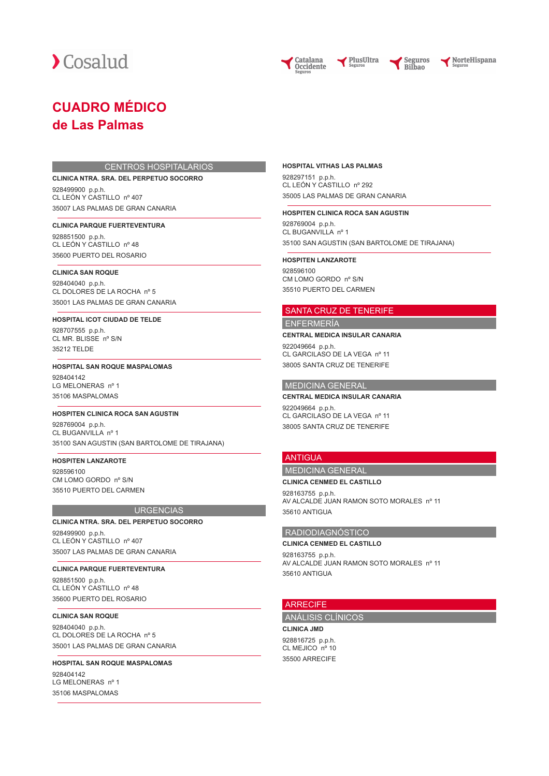

Catalana **Occidente** 



NorteHispana

# **CUADRO MÉDICO de Las Palmas**

#### CENTROS HOSPITALARIOS

#### **CLINICA NTRA. SRA. DEL PERPETUO SOCORRO**

928499900 p.p.h. CL LEÓN Y CASTILLO nº 407 35007 LAS PALMAS DE GRAN CANARIA

#### **CLINICA PARQUE FUERTEVENTURA**

928851500 p.p.h. CL LEÓN Y CASTILLO nº 48 35600 PUERTO DEL ROSARIO

#### **CLINICA SAN ROQUE**

928404040 p.p.h. CL DOLORES DE LA ROCHA nº 5 35001 LAS PALMAS DE GRAN CANARIA

# **HOSPITAL ICOT CIUDAD DE TELDE**

928707555 p.p.h. CL MR. BLISSE nº S/N 35212 TELDE

#### **HOSPITAL SAN ROQUE MASPALOMAS**

928404142 LG MELONERAS nº 1 35106 MASPALOMAS

#### **HOSPITEN CLINICA ROCA SAN AGUSTIN**

928769004 p.p.h. CL BUGANVILLA nº 1 35100 SAN AGUSTIN (SAN BARTOLOME DE TIRAJANA)

#### **HOSPITEN LANZAROTE**

928596100 CM LOMO GORDO nº S/N 35510 PUERTO DEL CARMEN

#### **URGENCIAS**

#### **CLINICA NTRA. SRA. DEL PERPETUO SOCORRO**

928499900 p.p.h. CL LEÓN Y CASTILLO nº 407 35007 LAS PALMAS DE GRAN CANARIA

## **CLINICA PARQUE FUERTEVENTURA**

928851500 p.p.h. CL LEÓN Y CASTILLO nº 48 35600 PUERTO DEL ROSARIO

#### **CLINICA SAN ROQUE**

928404040 p.p.h. CL DOLORES DE LA ROCHA nº 5 35001 LAS PALMAS DE GRAN CANARIA

# **HOSPITAL SAN ROQUE MASPALOMAS** 028404142 LG MELONERAS nº 1

35106 MASPALOMAS

#### **HOSPITAL VITHAS LAS PALMAS**

928297151 p.p.h. CL LEÓN Y CASTILLO nº 292 35005 LAS PALMAS DE GRAN CANARIA

PlusUltra

#### **HOSPITEN CLINICA ROCA SAN AGUSTIN**

928769004 p.p.h. CL BUGANVILLA nº 1 35100 SAN AGUSTIN (SAN BARTOLOME DE TIRAJANA)

#### **HOSPITEN LANZAROTE**

928596100 CM LOMO GORDO nº S/N 35510 PUERTO DEL CARMEN

#### SANTA CRUZ DE TENERIFE

# ENFERMERÍA

#### **CENTRAL MEDICA INSULAR CANARIA**

922049664 p.p.h. CL GARCILASO DE LA VEGA nº 11 38005 SANTA CRUZ DE TENERIFE

# MEDICINA GENERAL

#### **CENTRAL MEDICA INSULAR CANARIA**

922049664 p.p.h. CL GARCILASO DE LA VEGA nº 11 38005 SANTA CRUZ DE TENERIFE

### ANTIGUA

### MEDICINA GENERAL **CLINICA CENMED EL CASTILLO**

928163755 p.p.h. AV ALCALDE JUAN RAMON SOTO MORALES nº 11 35610 ANTIGUA

# RADIODIAGNÓSTICO

#### **CLINICA CENMED EL CASTILLO**

928163755 p.p.h. AV ALCALDE JUAN RAMON SOTO MORALES nº 11 35610 ANTIGUA

#### **ARRECIFE**

# ANÁLISIS CLÍNICOS

**CLINICA JMD** 928816725 p.p.h. CL MEJICO nº 10 35500 ARRECIFE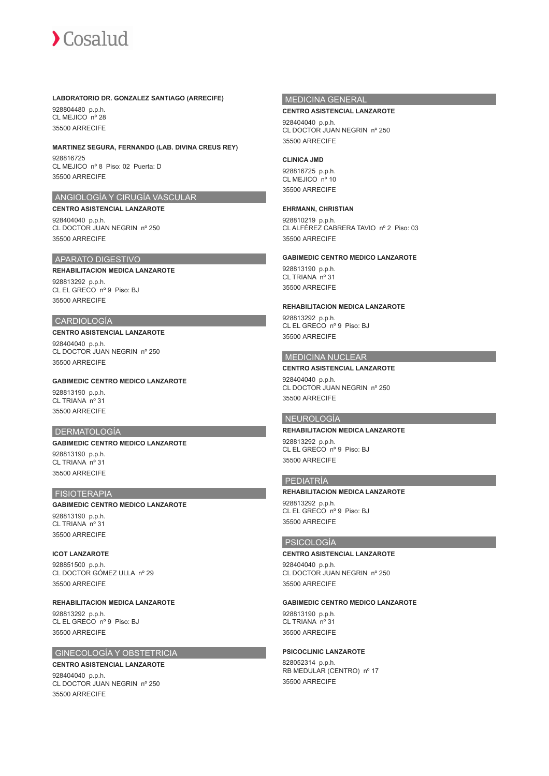#### **LABORATORIO DR. GONZALEZ SANTIAGO (ARRECIFE)**

928804480 p.p.h. CL MEJICO nº 28 35500 ARRECIFE

# **MARTINEZ SEGURA, FERNANDO (LAB. DIVINA CREUS REY)**

928816725 CL MEJICO nº 8 Piso: 02 Puerta: D 35500 ARRECIFE

# ANGIOLOGÍA Y CIRUGÍA VASCULAR

**CENTRO ASISTENCIAL LANZAROTE** 928404040 p.p.h. CL DOCTOR JUAN NEGRIN nº 250 35500 ARRECIFE

# APARATO DIGESTIVO

#### **REHABILITACION MEDICA LANZAROTE** 928813292 p.p.h. CL EL GRECO nº 9 Piso: BJ 35500 ARRECIFE

#### CARDIOLOGÍA

# **CENTRO ASISTENCIAL LANZAROTE**

928404040 p.p.h. CL DOCTOR JUAN NEGRIN nº 250 35500 ARRECIFE

# **GABIMEDIC CENTRO MEDICO LANZAROTE**

928813190 p.p.h. CL TRIANA nº 31 35500 ARRECIFE

#### DERMATOLOGÍA

## **GABIMEDIC CENTRO MEDICO LANZAROTE**

928813190 p.p.h. CL TRIANA nº 31 35500 ARRECIFE

# **FISIOTERAPIA**

#### **GABIMEDIC CENTRO MEDICO LANZAROTE**

928813190 p.p.h. CL TRIANA nº 31 35500 ARRECIFE

#### **ICOT LANZAROTE**

928851500 p.p.h. CL DOCTOR GÓMEZ ULLA nº 29 35500 ARRECIFE

# **REHABILITACION MEDICA LANZAROTE**

928813292 p.p.h. CL EL GRECO nº 9 Piso: BJ 35500 ARRECIFE

### GINECOLOGÍA Y OBSTETRICIA

# **CENTRO ASISTENCIAL LANZAROTE**

928404040 p.p.h. CL DOCTOR JUAN NEGRIN nº 250 35500 ARRECIFE

# MEDICINA GENERAL

#### **CENTRO ASISTENCIAL LANZAROTE**

928404040 p.p.h. CL DOCTOR JUAN NEGRIN nº 250 35500 ARRECIFE

#### **CLINICA JMD**

928816725 p.p.h. CL MEJICO nº 10 35500 ARRECIFE

#### **EHRMANN, CHRISTIAN**

928810219 p.p.h. CL ALFÉREZ CABRERA TAVIO nº 2 Piso: 03 35500 ARRECIFE

# **GABIMEDIC CENTRO MEDICO LANZAROTE**

928813190 p.p.h. CL TRIANA nº 31 35500 ARRECIFE

#### **REHABILITACION MEDICA LANZAROTE**

928813292 p.p.h. CL EL GRECO nº 9 Piso: BJ 35500 ARRECIFE

# MEDICINA NUCLEAR

**CENTRO ASISTENCIAL LANZAROTE** 928404040 p.p.h. CL DOCTOR JUAN NEGRIN nº 250 35500 ARRECIFE

# NEUROLOGÍA

#### **REHABILITACION MEDICA LANZAROTE**

928813292 p.p.h. CL EL GRECO nº 9 Piso: BJ 35500 ARRECIFE

#### PEDIATRÍA

#### **REHABILITACION MEDICA LANZAROTE**

928813292 p.p.h. CL EL GRECO nº 9 Piso: BJ 35500 ARRECIFE

# PSICOLOGÍA

# **CENTRO ASISTENCIAL LANZAROTE**

928404040 p.p.h. CL DOCTOR JUAN NEGRIN nº 250 35500 ARRECIFE

#### **GABIMEDIC CENTRO MEDICO LANZAROTE**

928813190 p.p.h. CL TRIANA nº 31 35500 ARRECIFE

# **PSICOCLINIC LANZAROTE**

828052314 p.p.h. RB MEDULAR (CENTRO) nº 17 35500 ARRECIFE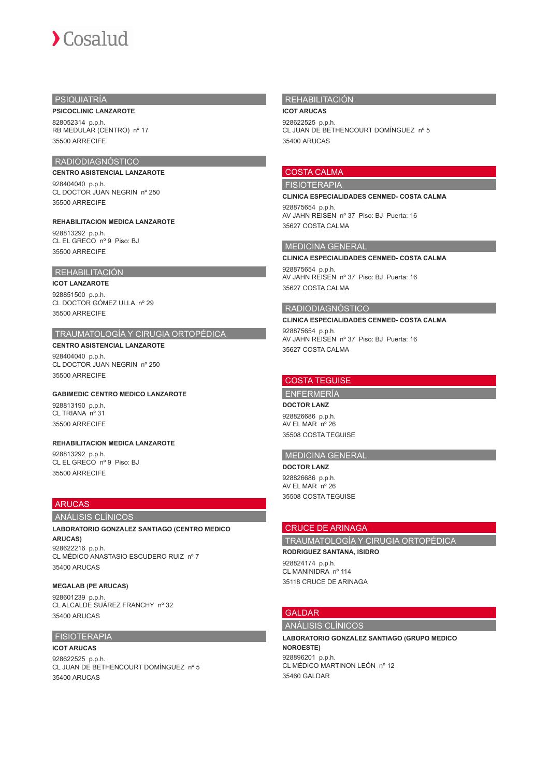# PSIQUIATRÍA

#### **PSICOCLINIC LANZAROTE**

828052314 p.p.h. RB MEDULAR (CENTRO) nº 17 35500 ARRECIFE

# RADIODIAGNÓSTICO

**CENTRO ASISTENCIAL LANZAROTE** 928404040 p.p.h. CL DOCTOR JUAN NEGRIN nº 250 35500 ARRECIFE

#### **REHABILITACION MEDICA LANZAROTE**

928813292 p.p.h. CL EL GRECO nº 9 Piso: BJ 35500 ARRECIFE

#### REHABILITACIÓN

#### **ICOT LANZAROTE** 928851500 p.p.h. CL DOCTOR GÓMEZ ULLA nº 29 35500 ARRECIFE

# TRAUMATOLOGÍA Y CIRUGIA ORTOPÉDICA

# **CENTRO ASISTENCIAL LANZAROTE**

928404040 p.p.h. CL DOCTOR JUAN NEGRIN nº 250 35500 ARRECIFE

#### **GABIMEDIC CENTRO MEDICO LANZAROTE**

928813190 p.p.h. CL TRIANA nº 31 35500 ARRECIFE

#### **REHABILITACION MEDICA LANZAROTE**

928813292 p.p.h. CL EL GRECO nº 9 Piso: BJ 35500 ARRECIFE

# ARUCAS

# ANÁLISIS CLÍNICOS

**LABORATORIO GONZALEZ SANTIAGO (CENTRO MEDICO ARUCAS)** 928622216 p.p.h. CL MÉDICO ANASTASIO ESCUDERO RUIZ nº 7 35400 ARUCAS

# **MEGALAB (PE ARUCAS)**

928601239 p.p.h. CL ALCALDE SUÁREZ FRANCHY nº 32 35400 ARUCAS

# FISIOTERAPIA

**ICOT ARUCAS** 928622525 p.p.h. CL JUAN DE BETHENCOURT DOMÍNGUEZ nº 5 35400 ARUCAS

# REHABILITACIÓN

**ICOT ARUCAS** 928622525 p.p.h. CL JUAN DE BETHENCOURT DOMÍNGUEZ nº 5 35400 ARUCAS

# COSTA CALMA

#### FISIOTERAPIA

**CLINICA ESPECIALIDADES CENMED- COSTA CALMA** 928875654 p.p.h. AV JAHN REISEN nº 37 Piso: BJ Puerta: 16 35627 COSTA CALMA

# MEDICINA GENERAL

**CLINICA ESPECIALIDADES CENMED- COSTA CALMA** 928875654 p.p.h. AV JAHN REISEN nº 37 Piso: BJ Puerta: 16 35627 COSTA CALMA

# RADIODIAGNÓSTICO

**CLINICA ESPECIALIDADES CENMED- COSTA CALMA**

928875654 p.p.h. AV JAHN REISEN nº 37 Piso: BJ Puerta: 16 35627 COSTA CALMA

# COSTA TEGUISE

ENFERMERÍA

**DOCTOR LANZ** 928826686 p.p.h. AV EL MAR nº 26 35508 COSTA TEGUISE

# MEDICINA GENERAL

**DOCTOR LANZ** 928826686 p.p.h. AV EL MAR nº 26 35508 COSTA TEGUISE

# CRUCE DE ARINAGA

TRAUMATOLOGÍA Y CIRUGIA ORTOPÉDICA

**RODRIGUEZ SANTANA, ISIDRO** 928824174 p.p.h. CL MANINIDRA nº 114 35118 CRUCE DE ARINAGA

# GALDAR

ANÁLISIS CLÍNICOS

## **LABORATORIO GONZALEZ SANTIAGO (GRUPO MEDICO**

**NOROESTE)** 928896201 p.p.h. CL MÉDICO MARTINON LEÓN nº 12 35460 GALDAR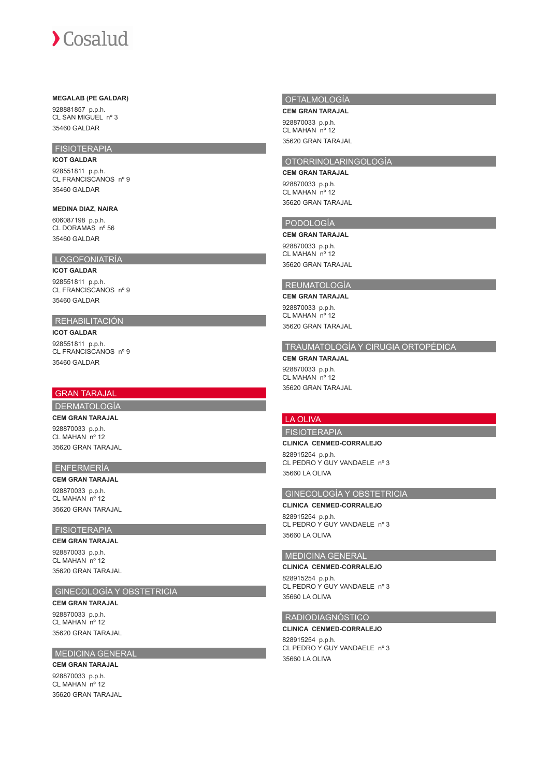#### **MEGALAB (PE GALDAR)**

928881857 p.p.h. CL SAN MIGUEL nº 3 35460 GALDAR

# FISIOTERAPIA

**ICOT GALDAR** 928551811 p.p.h. CL FRANCISCANOS nº 9 35460 GALDAR

# **MEDINA DIAZ, NAIRA**

606087198 p.p.h. CL DORAMAS nº 56 35460 GALDAR

# LOGOFONIATRÍA

**ICOT GALDAR** 928551811 p.p.h. CL FRANCISCANOS nº 9 35460 GALDAR

# REHABILITACIÓN

**ICOT GALDAR** 928551811 p.p.h. CL FRANCISCANOS nº 9 35460 GALDAR

# GRAN TARAJAL

# DERMATOLOGÍA

**CEM GRAN TARAJAL** 928870033 p.p.h. CL MAHAN nº 12 35620 GRAN TARAJAL

#### ENFERMERÍA

**CEM GRAN TARAJAL** 928870033 p.p.h. CL MAHAN nº 12 35620 GRAN TARAJAL

# FISIOTERAPIA

**CEM GRAN TARAJAL** 928870033 p.p.h.

CL MAHAN nº 12 35620 GRAN TARAJAL

# GINECOLOGÍA Y OBSTETRICIA

**CEM GRAN TARAJAL** 928870033 p.p.h. CL MAHAN nº 12 35620 GRAN TARAJAL

#### MEDICINA GENERAL

**CEM GRAN TARAJAL** 928870033 p.p.h. CL MAHAN nº 12 35620 GRAN TARAJAL

## OFTALMOLOGÍA

**CEM GRAN TARAJAL** 928870033 p.p.h. CL MAHAN nº 12 35620 GRAN TARAJAL

# OTORRINOLARINGOLOGÍA

**CEM GRAN TARAJAL** 928870033 p.p.h. CL MAHAN nº 12 35620 GRAN TARAJAL

# PODOLOGÍA

**CEM GRAN TARAJAL**

928870033 p.p.h. CL MAHAN nº 12 35620 GRAN TARAJAL

# REUMATOLOGÍA

**CEM GRAN TARAJAL**

928870033 p.p.h. CL MAHAN nº 12 35620 GRAN TARAJAL

# TRAUMATOLOGÍA Y CIRUGIA ORTOPÉDICA

**CEM GRAN TARAJAL** 928870033 p.p.h. CL MAHAN nº 12 35620 GRAN TARAJAL

# LA OLIVA

FISIOTERAPIA

## **CLINICA CENMED-CORRALEJO**

828915254 p.p.h. CL PEDRO Y GUY VANDAELE nº 3 35660 LA OLIVA

## GINECOLOGÍA Y OBSTETRICIA

**CLINICA CENMED-CORRALEJO** 828915254 p.p.h. CL PEDRO Y GUY VANDAELE nº 3 35660 LA OLIVA

#### MEDICINA GENERAL

**CLINICA CENMED-CORRALEJO** 828915254 p.p.h. CL PEDRO Y GUY VANDAELE nº 3 35660 LA OLIVA

# RADIODIAGNÓSTICO

**CLINICA CENMED-CORRALEJO** 828915254 p.p.h. CL PEDRO Y GUY VANDAELE nº 3 35660 LA OLIVA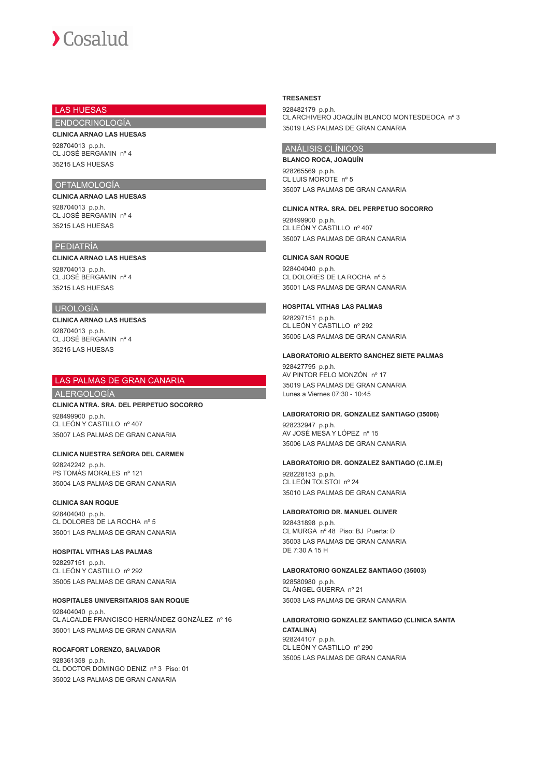# LAS HUESAS

ENDOCRINOLOGÍA

# **CLINICA ARNAO LAS HUESAS**

928704013 p.p.h. CL JOSÉ BERGAMIN nº 4 35215 LAS HUESAS

# OFTALMOLOGÍA

**CLINICA ARNAO LAS HUESAS** 928704013 p.p.h. CL JOSÉ BERGAMIN nº 4 35215 LAS HUESAS

# PEDIATRÍA

# **CLINICA ARNAO LAS HUESAS**

928704013 p.p.h. CL JOSÉ BERGAMIN nº 4 35215 LAS HUESAS

## UROLOGÍA

**CLINICA ARNAO LAS HUESAS** 928704013 p.p.h. CL JOSÉ BERGAMIN nº 4 35215 LAS HUESAS

# LAS PALMAS DE GRAN CANARIA

ALERGOLOGÍA

#### **CLINICA NTRA. SRA. DEL PERPETUO SOCORRO** 928499900 p.p.h. CL LEÓN Y CASTILLO nº 407 35007 LAS PALMAS DE GRAN CANARIA

# **CLINICA NUESTRA SEÑORA DEL CARMEN**

928242242 p.p.h. PS TOMÁS MORALES nº 121 35004 LAS PALMAS DE GRAN CANARIA

# **CLINICA SAN ROQUE**

928404040 p.p.h. CL DOLORES DE LA ROCHA nº 5 35001 LAS PALMAS DE GRAN CANARIA

# **HOSPITAL VITHAS LAS PALMAS**

928297151 p.p.h. CL LEÓN Y CASTILLO nº 292 35005 LAS PALMAS DE GRAN CANARIA

# **HOSPITALES UNIVERSITARIOS SAN ROQUE**

928404040 p.p.h. CL ALCALDE FRANCISCO HERNÁNDEZ GONZÁLEZ nº 16 35001 LAS PALMAS DE GRAN CANARIA

# **ROCAFORT LORENZO, SALVADOR**

928361358 p.p.h. CL DOCTOR DOMINGO DENIZ nº 3 Piso: 01 35002 LAS PALMAS DE GRAN CANARIA

#### **TRESANEST**

928482179 p.p.h. CL ARCHIVERO JOAQUÍN BLANCO MONTESDEOCA nº 3 35019 LAS PALMAS DE GRAN CANARIA

# ANÁLISIS CLÍNICOS

**BLANCO ROCA, JOAQUÍN** 928265569 p.p.h. CL LUIS MOROTE nº 5 35007 LAS PALMAS DE GRAN CANARIA

#### **CLINICA NTRA. SRA. DEL PERPETUO SOCORRO**

928499900 p.p.h. CL LEÓN Y CASTILLO nº 407 35007 LAS PALMAS DE GRAN CANARIA

#### **CLINICA SAN ROQUE**

928404040 p.p.h. CL DOLORES DE LA ROCHA nº 5 35001 LAS PALMAS DE GRAN CANARIA

#### **HOSPITAL VITHAS LAS PALMAS**

928297151 p.p.h. CL LEÓN Y CASTILLO nº 292 35005 LAS PALMAS DE GRAN CANARIA

#### **LABORATORIO ALBERTO SANCHEZ SIETE PALMAS**

928427795 p.p.h. AV PINTOR FELO MONZÓN nº 17 35019 LAS PALMAS DE GRAN CANARIA Lunes a Viernes 07:30 - 10:45

#### **LABORATORIO DR. GONZALEZ SANTIAGO (35006)**

928232947 p.p.h. AV JOSÉ MESA Y LÓPEZ nº 15 35006 LAS PALMAS DE GRAN CANARIA

#### **LABORATORIO DR. GONZALEZ SANTIAGO (C.I.M.E)**

928228153 p.p.h. CL LEÓN TOLSTOI nº 24 35010 LAS PALMAS DE GRAN CANARIA

#### **LABORATORIO DR. MANUEL OLIVER**

928431898 p.p.h. CL MURGA nº 48 Piso: BJ Puerta: D 35003 LAS PALMAS DE GRAN CANARIA DE 7:30 A 15 H

#### **LABORATORIO GONZALEZ SANTIAGO (35003)**

928580980 p.p.h. CL ÁNGEL GUERRA nº 21 35003 LAS PALMAS DE GRAN CANARIA

#### **LABORATORIO GONZALEZ SANTIAGO (CLINICA SANTA CATALINA)** 928244107 p.p.h. CL LEÓN Y CASTILLO nº 290 35005 LAS PALMAS DE GRAN CANARIA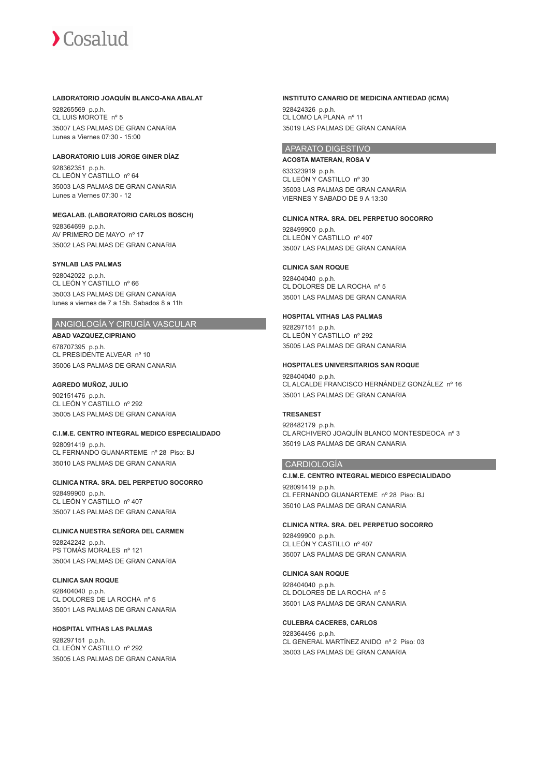#### **LABORATORIO JOAQUÍN BLANCO-ANA ABALAT**

928265569 p.p.h. CL LUIS MOROTE nº 5 35007 LAS PALMAS DE GRAN CANARIA Lunes a Viernes 07:30 - 15:00

# **LABORATORIO LUIS JORGE GINER DÍAZ**

928362351 p.p.h. CL LEÓN Y CASTILLO nº 64 35003 LAS PALMAS DE GRAN CANARIA Lunes a Viernes 07:30 - 12

#### **MEGALAB. (LABORATORIO CARLOS BOSCH)**

928364699 p.p.h. AV PRIMERO DE MAYO nº 17 35002 LAS PALMAS DE GRAN CANARIA

#### **SYNLAB LAS PALMAS**

928042022 p.p.h. CL LEÓN Y CASTILLO nº 66 35003 LAS PALMAS DE GRAN CANARIA lunes a viernes de 7 a 15h. Sabados 8 a 11h

# ANGIOLOGÍA Y CIRUGÍA VASCULAR

**ABAD VAZQUEZ,CIPRIANO** 678707395 p.p.h. CL PRESIDENTE ALVEAR nº 10 35006 LAS PALMAS DE GRAN CANARIA

#### **AGREDO MUÑOZ, JULIO**

902151476 p.p.h. CL LEÓN Y CASTILLO nº 292 35005 LAS PALMAS DE GRAN CANARIA

#### **C.I.M.E. CENTRO INTEGRAL MEDICO ESPECIALIDADO**

928091419 p.p.h. CL FERNANDO GUANARTEME nº 28 Piso: BJ 35010 LAS PALMAS DE GRAN CANARIA

# **CLINICA NTRA. SRA. DEL PERPETUO SOCORRO**

928499900 p.p.h. CL LEÓN Y CASTILLO nº 407 35007 LAS PALMAS DE GRAN CANARIA

# **CLINICA NUESTRA SEÑORA DEL CARMEN**

928242242 p.p.h. PS TOMÁS MORALES nº 121 35004 LAS PALMAS DE GRAN CANARIA

## **CLINICA SAN ROQUE**

928404040 p.p.h. CL DOLORES DE LA ROCHA nº 5 35001 LAS PALMAS DE GRAN CANARIA

# **HOSPITAL VITHAS LAS PALMAS**

928297151 p.p.h. CL LEÓN Y CASTILLO nº 292 35005 LAS PALMAS DE GRAN CANARIA

#### **INSTITUTO CANARIO DE MEDICINA ANTIEDAD (ICMA)**

928424326 p.p.h. CL LOMO LA PLANA nº 11 35019 LAS PALMAS DE GRAN CANARIA

# APARATO DIGESTIVO

**ACOSTA MATERAN, ROSA V** 633323919 p.p.h. CL LEÓN Y CASTILLO nº 30 35003 LAS PALMAS DE GRAN CANARIA VIERNES Y SABADO DE 9 A 13:30

## **CLINICA NTRA. SRA. DEL PERPETUO SOCORRO**

928499900 p.p.h. CL LEÓN Y CASTILLO nº 407 35007 LAS PALMAS DE GRAN CANARIA

#### **CLINICA SAN ROQUE**

928404040 p.p.h. CL DOLORES DE LA ROCHA nº 5 35001 LAS PALMAS DE GRAN CANARIA

#### **HOSPITAL VITHAS LAS PALMAS**

928297151 p.p.h. CL LEÓN Y CASTILLO nº 292 35005 LAS PALMAS DE GRAN CANARIA

#### **HOSPITALES UNIVERSITARIOS SAN ROQUE**

928404040 p.p.h. CL ALCALDE FRANCISCO HERNÁNDEZ GONZÁLEZ nº 16 35001 LAS PALMAS DE GRAN CANARIA

# **TRESANEST**

928482179 p.p.h. CL ARCHIVERO JOAQUÍN BLANCO MONTESDEOCA nº 3 35019 LAS PALMAS DE GRAN CANARIA

#### CARDIOLOGÍA

# **C.I.M.E. CENTRO INTEGRAL MEDICO ESPECIALIDADO**

928091419 p.p.h. CL FERNANDO GUANARTEME nº 28 Piso: BJ 35010 LAS PALMAS DE GRAN CANARIA

#### **CLINICA NTRA. SRA. DEL PERPETUO SOCORRO**

928499900 p.p.h. CL LEÓN Y CASTILLO nº 407 35007 LAS PALMAS DE GRAN CANARIA

#### **CLINICA SAN ROQUE**

928404040 p.p.h. CL DOLORES DE LA ROCHA nº 5 35001 LAS PALMAS DE GRAN CANARIA

#### **CULEBRA CACERES, CARLOS**

928364496 p.p.h. CL GENERAL MARTÍNEZ ANIDO nº 2 Piso: 03 35003 LAS PALMAS DE GRAN CANARIA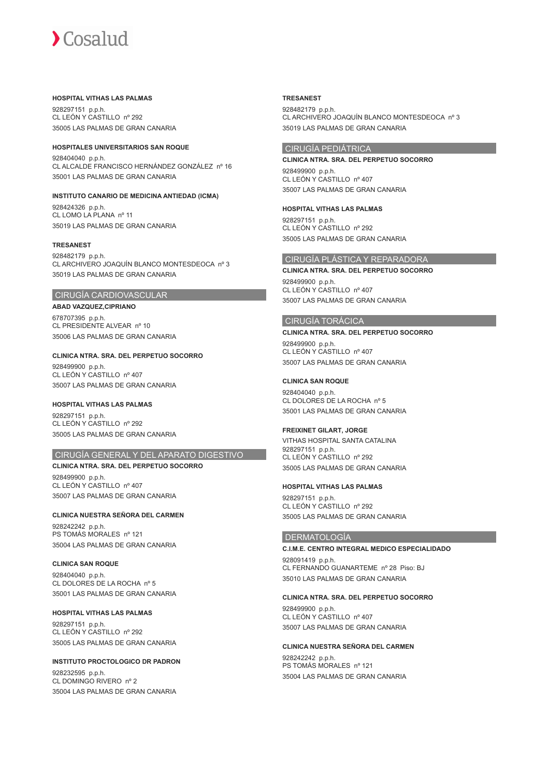#### **HOSPITAL VITHAS LAS PALMAS**

928297151 p.p.h. CL LEÓN Y CASTILLO nº 292 35005 LAS PALMAS DE GRAN CANARIA

#### **HOSPITALES UNIVERSITARIOS SAN ROQUE**

928404040 p.p.h. CL ALCALDE FRANCISCO HERNÁNDEZ GONZÁLEZ nº 16 35001 LAS PALMAS DE GRAN CANARIA

#### **INSTITUTO CANARIO DE MEDICINA ANTIEDAD (ICMA)**

928424326 p.p.h. CL LOMO LA PLANA nº 11 35019 LAS PALMAS DE GRAN CANARIA

#### **TRESANEST**

928482179 p.p.h. CL ARCHIVERO JOAQUÍN BLANCO MONTESDEOCA nº 3 35019 LAS PALMAS DE GRAN CANARIA

# CIRUGÍA CARDIOVASCULAR

**ABAD VAZQUEZ,CIPRIANO** 678707395 p.p.h. CL PRESIDENTE ALVEAR nº 10 35006 LAS PALMAS DE GRAN CANARIA

**CLINICA NTRA. SRA. DEL PERPETUO SOCORRO** 928499900 p.p.h. CL LEÓN Y CASTILLO nº 407 35007 LAS PALMAS DE GRAN CANARIA

**HOSPITAL VITHAS LAS PALMAS** 928297151 p.p.h. CL LEÓN Y CASTILLO nº 292 35005 LAS PALMAS DE GRAN CANARIA

# CIRUGÍA GENERAL Y DEL APARATO DIGESTIVO

**CLINICA NTRA. SRA. DEL PERPETUO SOCORRO** 928499900 p.p.h. CL LEÓN Y CASTILLO nº 407 35007 LAS PALMAS DE GRAN CANARIA

**CLINICA NUESTRA SEÑORA DEL CARMEN** 928242242 p.p.h. PS TOMÁS MORALES nº 121 35004 LAS PALMAS DE GRAN CANARIA

**CLINICA SAN ROQUE**

928404040 p.p.h. CL DOLORES DE LA ROCHA nº 5 35001 LAS PALMAS DE GRAN CANARIA

#### **HOSPITAL VITHAS LAS PALMAS**

928297151 p.p.h. CL LEÓN Y CASTILLO nº 292 35005 LAS PALMAS DE GRAN CANARIA

# **INSTITUTO PROCTOLOGICO DR PADRON**

928232595 p.p.h. CL DOMINGO RIVERO nº 2 35004 LAS PALMAS DE GRAN CANARIA

#### **TRESANEST**

928482179 p.p.h. CL ARCHIVERO JOAQUÍN BLANCO MONTESDEOCA nº 3 35019 LAS PALMAS DE GRAN CANARIA

# CIRUGÍA PEDIÁTRICA

**CLINICA NTRA. SRA. DEL PERPETUO SOCORRO** 928499900 p.p.h. CL LEÓN Y CASTILLO nº 407 35007 LAS PALMAS DE GRAN CANARIA

**HOSPITAL VITHAS LAS PALMAS**

928297151 p.p.h. CL LEÓN Y CASTILLO nº 292 35005 LAS PALMAS DE GRAN CANARIA

# CIRUGÍA PLÁSTICA Y REPARADORA

**CLINICA NTRA. SRA. DEL PERPETUO SOCORRO** 928499900 p.p.h. CL LEÓN Y CASTILLO nº 407 35007 LAS PALMAS DE GRAN CANARIA

# CIRUGÍA TORÁCICA

**CLINICA NTRA. SRA. DEL PERPETUO SOCORRO** 928499900 p.p.h. CL LEÓN Y CASTILLO nº 407 35007 LAS PALMAS DE GRAN CANARIA

#### **CLINICA SAN ROQUE**

928404040 p.p.h. CL DOLORES DE LA ROCHA nº 5 35001 LAS PALMAS DE GRAN CANARIA

### **FREIXINET GILART, JORGE**

VITHAS HOSPITAL SANTA CATALINA 928297151 p.p.h. CL LEÓN Y CASTILLO nº 292 35005 LAS PALMAS DE GRAN CANARIA

#### **HOSPITAL VITHAS LAS PALMAS**

928297151 p.p.h. CL LEÓN Y CASTILLO nº 292 35005 LAS PALMAS DE GRAN CANARIA

# DERMATOLOGÍA

**C.I.M.E. CENTRO INTEGRAL MEDICO ESPECIALIDADO** 928091419 p.p.h. CL FERNANDO GUANARTEME nº 28 Piso: BJ 35010 LAS PALMAS DE GRAN CANARIA

**CLINICA NTRA. SRA. DEL PERPETUO SOCORRO**

928499900 p.p.h. CL LEÓN Y CASTILLO nº 407 35007 LAS PALMAS DE GRAN CANARIA

# **CLINICA NUESTRA SEÑORA DEL CARMEN**

928242242 p.p.h. PS TOMÁS MORALES nº 121 35004 LAS PALMAS DE GRAN CANARIA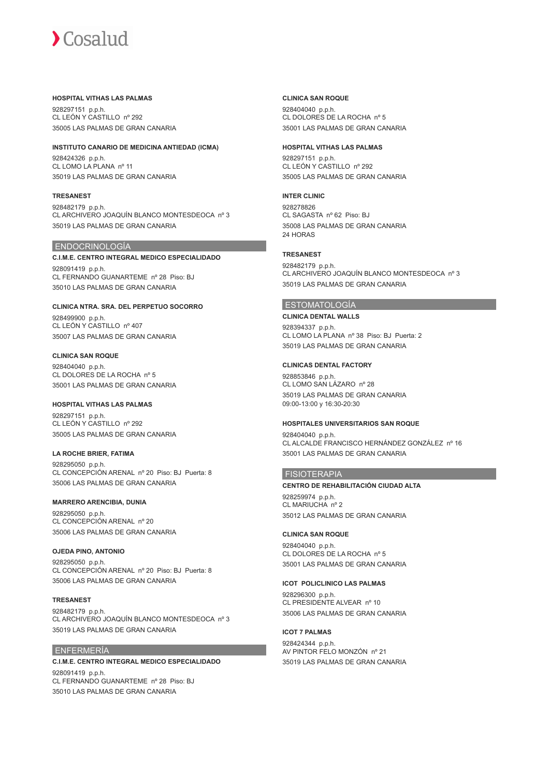#### **HOSPITAL VITHAS LAS PALMAS**

928297151 p.p.h. CL LEÓN Y CASTILLO nº 292 35005 LAS PALMAS DE GRAN CANARIA

### **INSTITUTO CANARIO DE MEDICINA ANTIEDAD (ICMA)**

928424326 p.p.h. CL LOMO LA PLANA nº 11 35019 LAS PALMAS DE GRAN CANARIA

#### **TRESANEST**

928482179 p.p.h. CL ARCHIVERO JOAQUÍN BLANCO MONTESDEOCA nº 3 35019 LAS PALMAS DE GRAN CANARIA

# ENDOCRINOLOGÍA

**C.I.M.E. CENTRO INTEGRAL MEDICO ESPECIALIDADO** 928091419 p.p.h. CL FERNANDO GUANARTEME nº 28 Piso: BJ 35010 LAS PALMAS DE GRAN CANARIA

**CLINICA NTRA. SRA. DEL PERPETUO SOCORRO** 928499900 p.p.h. CL LEÓN Y CASTILLO nº 407 35007 LAS PALMAS DE GRAN CANARIA

**CLINICA SAN ROQUE** 928404040 p.p.h. CL DOLORES DE LA ROCHA nº 5 35001 LAS PALMAS DE GRAN CANARIA

**HOSPITAL VITHAS LAS PALMAS** 928297151 p.p.h. CL LEÓN Y CASTILLO nº 292 35005 LAS PALMAS DE GRAN CANARIA

**LA ROCHE BRIER, FATIMA** 928295050 p.p.h. CL CONCEPCIÓN ARENAL nº 20 Piso: BJ Puerta: 8 35006 LAS PALMAS DE GRAN CANARIA

# **MARRERO ARENCIBIA, DUNIA**

928295050 p.p.h. CL CONCEPCIÓN ARENAL nº 20 35006 LAS PALMAS DE GRAN CANARIA

**OJEDA PINO, ANTONIO** 928295050 p.p.h. CL CONCEPCIÓN ARENAL nº 20 Piso: BJ Puerta: 8 35006 LAS PALMAS DE GRAN CANARIA

# **TRESANEST**

928482179 p.p.h. CL ARCHIVERO JOAQUÍN BLANCO MONTESDEOCA nº 3 35019 LAS PALMAS DE GRAN CANARIA

# ENFERMERÍA

# **C.I.M.E. CENTRO INTEGRAL MEDICO ESPECIALIDADO** 928091419 p.p.h. CL FERNANDO GUANARTEME nº 28 Piso: BJ 35010 LAS PALMAS DE GRAN CANARIA

#### **CLINICA SAN ROQUE**

928404040 p.p.h. CL DOLORES DE LA ROCHA nº 5 35001 LAS PALMAS DE GRAN CANARIA

### **HOSPITAL VITHAS LAS PALMAS**

928297151 p.p.h. CL LEÓN Y CASTILLO nº 292 35005 LAS PALMAS DE GRAN CANARIA

# **INTER CLINIC**

928278826 CL SAGASTA nº 62 Piso: BJ 35008 LAS PALMAS DE GRAN CANARIA 24 HORAS

# **TRESANEST**

928482179 p.p.h. CL ARCHIVERO JOAQUÍN BLANCO MONTESDEOCA nº 3 35019 LAS PALMAS DE GRAN CANARIA

# **ESTOMATOLOGÍA**

#### **CLINICA DENTAL WALLS**

928394337 p.p.h. CL LOMO LA PLANA nº 38 Piso: BJ Puerta: 2 35019 LAS PALMAS DE GRAN CANARIA

#### **CLINICAS DENTAL FACTORY**

928853846 p.p.h. CL LOMO SAN LÁZARO nº 28 35019 LAS PALMAS DE GRAN CANARIA 09:00-13:00 y 16:30-20:30

# **HOSPITALES UNIVERSITARIOS SAN ROQUE**

928404040 p.p.h. CL ALCALDE FRANCISCO HERNÁNDEZ GONZÁLEZ nº 16 35001 LAS PALMAS DE GRAN CANARIA

# **FISIOTERAPIA**

#### **CENTRO DE REHABILITACIÓN CIUDAD ALTA**

928259974 p.p.h. CL MARIUCHA nº 2 35012 LAS PALMAS DE GRAN CANARIA

# **CLINICA SAN ROQUE**

928404040 p.p.h. CL DOLORES DE LA ROCHA nº 5 35001 LAS PALMAS DE GRAN CANARIA

# **ICOT POLICLINICO LAS PALMAS**

928296300 p.p.h. CL PRESIDENTE ALVEAR nº 10 35006 LAS PALMAS DE GRAN CANARIA

# **ICOT 7 PALMAS**

928424344 p.p.h. AV PINTOR FELO MONZÓN nº 21 35019 LAS PALMAS DE GRAN CANARIA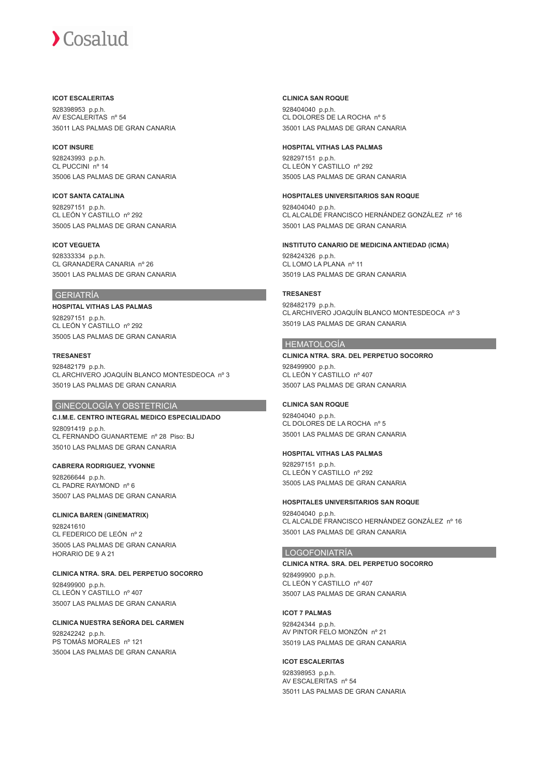#### **ICOT ESCALERITAS**

928398953 p.p.h. AV ESCALERITAS nº 54 35011 LAS PALMAS DE GRAN CANARIA

#### **ICOT INSURE**

928243993 p.p.h. CL PUCCINI nº 14 35006 LAS PALMAS DE GRAN CANARIA

**ICOT SANTA CATALINA** 928297151 p.p.h. CL LEÓN Y CASTILLO nº 292 35005 LAS PALMAS DE GRAN CANARIA

#### **ICOT VEGUETA**

928333334 p.p.h. CL GRANADERA CANARIA nº 26 35001 LAS PALMAS DE GRAN CANARIA

# GERIATRÍA

# **HOSPITAL VITHAS LAS PALMAS**

928297151 p.p.h. CL LEÓN Y CASTILLO nº 292 35005 LAS PALMAS DE GRAN CANARIA

#### **TRESANEST**

928482179 p.p.h. CL ARCHIVERO JOAQUÍN BLANCO MONTESDEOCA nº 3 35019 LAS PALMAS DE GRAN CANARIA

#### GINECOLOGÍA Y OBSTETRICIA

#### **C.I.M.E. CENTRO INTEGRAL MEDICO ESPECIALIDADO**

928091419 p.p.h. CL FERNANDO GUANARTEME nº 28 Piso: BJ 35010 LAS PALMAS DE GRAN CANARIA

#### **CABRERA RODRIGUEZ, YVONNE**

928266644 p.p.h. CL PADRE RAYMOND nº 6 35007 LAS PALMAS DE GRAN CANARIA

# **CLINICA BAREN (GINEMATRIX)**

928241610 CL FEDERICO DE LEÓN nº 2 35005 LAS PALMAS DE GRAN CANARIA HORARIO DE 9 A 21

#### **CLINICA NTRA. SRA. DEL PERPETUO SOCORRO**

928499900 p.p.h. CL LEÓN Y CASTILLO nº 407 35007 LAS PALMAS DE GRAN CANARIA

# **CLINICA NUESTRA SEÑORA DEL CARMEN**

928242242 p.p.h. PS TOMÁS MORALES nº 121 35004 LAS PALMAS DE GRAN CANARIA

#### **CLINICA SAN ROQUE**

928404040 p.p.h. CL DOLORES DE LA ROCHA nº 5 35001 LAS PALMAS DE GRAN CANARIA

#### **HOSPITAL VITHAS LAS PALMAS**

928297151 p.p.h. CL LEÓN Y CASTILLO nº 292 35005 LAS PALMAS DE GRAN CANARIA

#### **HOSPITALES UNIVERSITARIOS SAN ROQUE**

928404040 p.p.h. CL ALCALDE FRANCISCO HERNÁNDEZ GONZÁLEZ nº 16 35001 LAS PALMAS DE GRAN CANARIA

#### **INSTITUTO CANARIO DE MEDICINA ANTIEDAD (ICMA)**

928424326 p.p.h. CL LOMO LA PLANA nº 11 35019 LAS PALMAS DE GRAN CANARIA

#### **TRESANEST**

928482179 p.p.h. CL ARCHIVERO JOAQUÍN BLANCO MONTESDEOCA nº 3 35019 LAS PALMAS DE GRAN CANARIA

# HEMATOLOGÍA

#### **CLINICA NTRA. SRA. DEL PERPETUO SOCORRO** 928499900 p.p.h. CL LEÓN Y CASTILLO nº 407

35007 LAS PALMAS DE GRAN CANARIA

# **CLINICA SAN ROQUE**

928404040 p.p.h. CL DOLORES DE LA ROCHA nº 5 35001 LAS PALMAS DE GRAN CANARIA

# **HOSPITAL VITHAS LAS PALMAS**

928297151 p.p.h. CL LEÓN Y CASTILLO nº 292

35005 LAS PALMAS DE GRAN CANARIA

# **HOSPITALES UNIVERSITARIOS SAN ROQUE**

928404040 p.p.h. CL ALCALDE FRANCISCO HERNÁNDEZ GONZÁLEZ nº 16 35001 LAS PALMAS DE GRAN CANARIA

# LOGOFONIATRÍA

**CLINICA NTRA. SRA. DEL PERPETUO SOCORRO** 928499900 p.p.h. CL LEÓN Y CASTILLO nº 407 35007 LAS PALMAS DE GRAN CANARIA

#### **ICOT 7 PALMAS**

928424344 p.p.h. AV PINTOR FELO MONZÓN nº 21 35019 LAS PALMAS DE GRAN CANARIA

# **ICOT ESCALERITAS**

928398953 p.p.h. AV ESCALERITAS nº 54 35011 LAS PALMAS DE GRAN CANARIA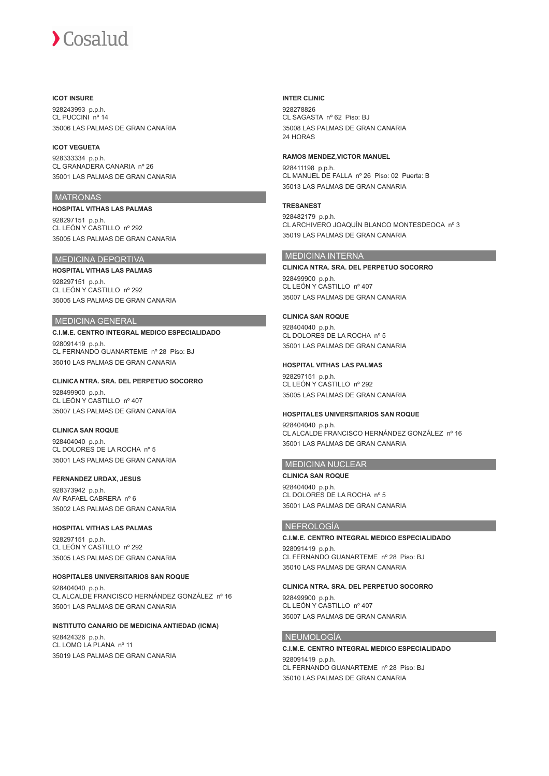#### **ICOT INSURE**

928243993 p.p.h. CL PUCCINI nº 14 35006 LAS PALMAS DE GRAN CANARIA

#### **ICOT VEGUETA**

928333334 p.p.h. CL GRANADERA CANARIA nº 26 35001 LAS PALMAS DE GRAN CANARIA

#### **MATRONAS**

**HOSPITAL VITHAS LAS PALMAS** 928297151 p.p.h. CL LEÓN Y CASTILLO nº 292 35005 LAS PALMAS DE GRAN CANARIA

# MEDICINA DEPORTIVA

**HOSPITAL VITHAS LAS PALMAS** 928297151 p.p.h. CL LEÓN Y CASTILLO nº 292 35005 LAS PALMAS DE GRAN CANARIA

### MEDICINA GENERAL

# **C.I.M.E. CENTRO INTEGRAL MEDICO ESPECIALIDADO**

928091419 p.p.h. CL FERNANDO GUANARTEME nº 28 Piso: BJ 35010 LAS PALMAS DE GRAN CANARIA

## **CLINICA NTRA. SRA. DEL PERPETUO SOCORRO**

928499900 p.p.h. CL LEÓN Y CASTILLO nº 407 35007 LAS PALMAS DE GRAN CANARIA

#### **CLINICA SAN ROQUE**

928404040 p.p.h. CL DOLORES DE LA ROCHA nº 5 35001 LAS PALMAS DE GRAN CANARIA

#### **FERNANDEZ URDAX, JESUS**

928373942 p.p.h. AV RAFAEL CABRERA nº 6 35002 LAS PALMAS DE GRAN CANARIA

### **HOSPITAL VITHAS LAS PALMAS**

928297151 p.p.h. CL LEÓN Y CASTILLO nº 292 35005 LAS PALMAS DE GRAN CANARIA

#### **HOSPITALES UNIVERSITARIOS SAN ROQUE**

928404040 p.p.h. CL ALCALDE FRANCISCO HERNÁNDEZ GONZÁLEZ nº 16 35001 LAS PALMAS DE GRAN CANARIA

# **INSTITUTO CANARIO DE MEDICINA ANTIEDAD (ICMA)**

928424326 p.p.h. CL LOMO LA PLANA nº 11 35019 LAS PALMAS DE GRAN CANARIA

#### **INTER CLINIC**

928278826 CL SAGASTA nº 62 Piso: BJ 35008 LAS PALMAS DE GRAN CANARIA 24 HORAS

### **RAMOS MENDEZ,VICTOR MANUEL**

928411198 p.p.h. CL MANUEL DE FALLA nº 26 Piso: 02 Puerta: B 35013 LAS PALMAS DE GRAN CANARIA

# **TRESANEST**

928482179 p.p.h. CL ARCHIVERO JOAQUÍN BLANCO MONTESDEOCA nº 3 35019 LAS PALMAS DE GRAN CANARIA

# MEDICINA INTERNA

# **CLINICA NTRA. SRA. DEL PERPETUO SOCORRO**

928499900 p.p.h. CL LEÓN Y CASTILLO nº 407 35007 LAS PALMAS DE GRAN CANARIA

#### **CLINICA SAN ROQUE**

928404040 p.p.h. CL DOLORES DE LA ROCHA nº 5 35001 LAS PALMAS DE GRAN CANARIA

#### **HOSPITAL VITHAS LAS PALMAS**

928297151 p.p.h. CL LEÓN Y CASTILLO nº 292 35005 LAS PALMAS DE GRAN CANARIA

#### **HOSPITALES UNIVERSITARIOS SAN ROQUE**

928404040 p.p.h. CL ALCALDE FRANCISCO HERNÁNDEZ GONZÁLEZ nº 16 35001 LAS PALMAS DE GRAN CANARIA

# MEDICINA NUCLEAR

**CLINICA SAN ROQUE** 928404040 p.p.h. CL DOLORES DE LA ROCHA nº 5 35001 LAS PALMAS DE GRAN CANARIA

# NEFROLOGÍA

## **C.I.M.E. CENTRO INTEGRAL MEDICO ESPECIALIDADO**

928091419 p.p.h. CL FERNANDO GUANARTEME nº 28 Piso: BJ 35010 LAS PALMAS DE GRAN CANARIA

#### **CLINICA NTRA. SRA. DEL PERPETUO SOCORRO**

928499900 p.p.h. CL LEÓN Y CASTILLO nº 407 35007 LAS PALMAS DE GRAN CANARIA

# NEUMOLOGÍA

# **C.I.M.E. CENTRO INTEGRAL MEDICO ESPECIALIDADO**

928091419 p.p.h. CL FERNANDO GUANARTEME nº 28 Piso: BJ 35010 LAS PALMAS DE GRAN CANARIA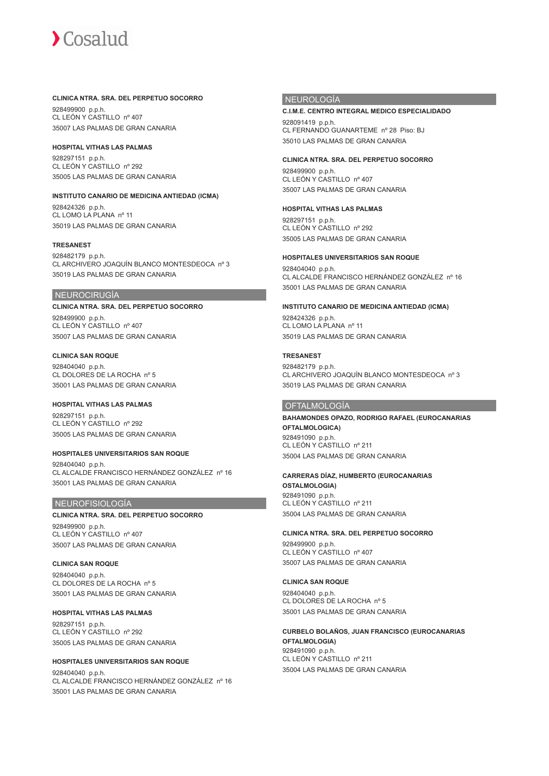#### **CLINICA NTRA. SRA. DEL PERPETUO SOCORRO**

928499900 p.p.h. CL LEÓN Y CASTILLO nº 407 35007 LAS PALMAS DE GRAN CANARIA

#### **HOSPITAL VITHAS LAS PALMAS**

928297151 p.p.h. CL LEÓN Y CASTILLO nº 292 35005 LAS PALMAS DE GRAN CANARIA

#### **INSTITUTO CANARIO DE MEDICINA ANTIEDAD (ICMA)**

928424326 p.p.h. CL LOMO LA PLANA nº 11 35019 LAS PALMAS DE GRAN CANARIA

#### **TRESANEST**

928482179 p.p.h. CL ARCHIVERO JOAQUÍN BLANCO MONTESDEOCA nº 3 35019 LAS PALMAS DE GRAN CANARIA

#### NEUROCIRUGÍA

**CLINICA NTRA. SRA. DEL PERPETUO SOCORRO** 928499900 p.p.h. CL LEÓN Y CASTILLO nº 407 35007 LAS PALMAS DE GRAN CANARIA

#### **CLINICA SAN ROQUE** 928404040 p.p.h. CL DOLORES DE LA ROCHA nº 5 35001 LAS PALMAS DE GRAN CANARIA

**HOSPITAL VITHAS LAS PALMAS** 928297151 p.p.h. CL LEÓN Y CASTILLO nº 292 35005 LAS PALMAS DE GRAN CANARIA

## **HOSPITALES UNIVERSITARIOS SAN ROQUE**

928404040 p.p.h. CL ALCALDE FRANCISCO HERNÁNDEZ GONZÁLEZ nº 16 35001 LAS PALMAS DE GRAN CANARIA

#### NEUROFISIOLOGÍA

**CLINICA NTRA. SRA. DEL PERPETUO SOCORRO** 928499900 p.p.h. CL LEÓN Y CASTILLO nº 407 35007 LAS PALMAS DE GRAN CANARIA

#### **CLINICA SAN ROQUE** 928404040 p.p.h. CL DOLORES DE LA ROCHA nº 5 35001 LAS PALMAS DE GRAN CANARIA

# **HOSPITAL VITHAS LAS PALMAS**

928297151 p.p.h. CL LEÓN Y CASTILLO nº 292 35005 LAS PALMAS DE GRAN CANARIA

#### **HOSPITALES UNIVERSITARIOS SAN ROQUE** 928404040 p.p.h. CL ALCALDE FRANCISCO HERNÁNDEZ GONZÁLEZ nº 16 35001 LAS PALMAS DE GRAN CANARIA

#### NEUROLOGÍA

# **C.I.M.E. CENTRO INTEGRAL MEDICO ESPECIALIDADO** 928091419 p.p.h.

CL FERNANDO GUANARTEME nº 28 Piso: BJ 35010 LAS PALMAS DE GRAN CANARIA

# **CLINICA NTRA. SRA. DEL PERPETUO SOCORRO**

928499900 p.p.h. CL LEÓN Y CASTILLO nº 407 35007 LAS PALMAS DE GRAN CANARIA

# **HOSPITAL VITHAS LAS PALMAS**

928297151 p.p.h. CL LEÓN Y CASTILLO nº 292 35005 LAS PALMAS DE GRAN CANARIA

## **HOSPITALES UNIVERSITARIOS SAN ROQUE**

928404040 p.p.h. CL ALCALDE FRANCISCO HERNÁNDEZ GONZÁLEZ nº 16 35001 LAS PALMAS DE GRAN CANARIA

#### **INSTITUTO CANARIO DE MEDICINA ANTIEDAD (ICMA)**

928424326 p.p.h. CL LOMO LA PLANA nº 11 35019 LAS PALMAS DE GRAN CANARIA

#### **TRESANEST**

928482179 p.p.h. CL ARCHIVERO JOAQUÍN BLANCO MONTESDEOCA nº 3 35019 LAS PALMAS DE GRAN CANARIA

#### **OFTALMOLOGÍA**

**BAHAMONDES OPAZO, RODRIGO RAFAEL (EUROCANARIAS OFTALMOLOGICA)** 928491090 p.p.h. CL LEÓN Y CASTILLO nº 211 35004 LAS PALMAS DE GRAN CANARIA

# **CARRERAS DÍAZ, HUMBERTO (EUROCANARIAS**

**OSTALMOLOGIA)** 928491090 p.p.h. CL LEÓN Y CASTILLO nº 211 35004 LAS PALMAS DE GRAN CANARIA

# **CLINICA NTRA. SRA. DEL PERPETUO SOCORRO** 928499900 p.p.h.

CL LEÓN Y CASTILLO nº 407 35007 LAS PALMAS DE GRAN CANARIA

# **CLINICA SAN ROQUE**

928404040 p.p.h. CL DOLORES DE LA ROCHA nº 5 35001 LAS PALMAS DE GRAN CANARIA

#### **CURBELO BOLAÑOS, JUAN FRANCISCO (EUROCANARIAS OFTALMOLOGIA)** 928491090 p.p.h. CL LEÓN Y CASTILLO nº 211 35004 LAS PALMAS DE GRAN CANARIA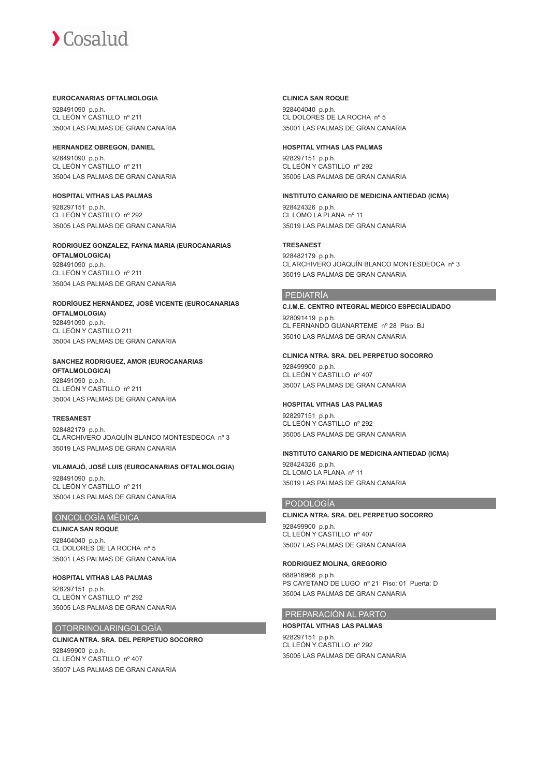#### **EUROCANARIAS OFTALMOLOGIA**

928491090 p.p.h. CL LEÓN Y CASTILLO nº 211 35004 LAS PALMAS DE GRAN CANARIA

#### **HERNANDEZ OBREGON, DANIEL**

928491090 p.p.h. CL LEÓN Y CASTILLO nº 211 35004 LAS PALMAS DE GRAN CANARIA

#### **HOSPITAL VITHAS LAS PALMAS**

928297151 p.p.h. CL LEÓN Y CASTILLO nº 292 35005 LAS PALMAS DE GRAN CANARIA

# **RODRIGUEZ GONZALEZ, FAYNA MARIA (EUROCANARIAS OFTALMOLOGICA)** 928491090 p.p.h.

CL LEÓN Y CASTILLO nº 211 35004 LAS PALMAS DE GRAN CANARIA

#### **RODRÍGUEZ HERNÁNDEZ, JOSÉ VICENTE (EUROCANARIAS OFTALMOLOGIA)** 928491090 p.p.h. CL LEÓN Y CASTILLO 211 35004 LAS PALMAS DE GRAN CANARIA

#### **SANCHEZ RODRIGUEZ, AMOR (EUROCANARIAS OFTALMOLOGICA)**

928491090 p.p.h. CL LEÓN Y CASTILLO nº 211 35004 LAS PALMAS DE GRAN CANARIA

# **TRESANEST**

928482179 p.p.h. CL ARCHIVERO JOAQUÍN BLANCO MONTESDEOCA nº 3 35019 LAS PALMAS DE GRAN CANARIA

# **VILAMAJÓ, JOSÉ LUIS (EUROCANARIAS OFTALMOLOGIA)**

928491090 p.p.h. CL LEÓN Y CASTILLO nº 211 35004 LAS PALMAS DE GRAN CANARIA

# ONCOLOGÍA MÉDICA

**CLINICA SAN ROQUE** 928404040 p.p.h. CL DOLORES DE LA ROCHA nº 5 35001 LAS PALMAS DE GRAN CANARIA

**HOSPITAL VITHAS LAS PALMAS** 928297151 p.p.h. CL LEÓN Y CASTILLO nº 292 35005 LAS PALMAS DE GRAN CANARIA

# OTORRINOLARINGOLOGÍA

# **CLINICA NTRA. SRA. DEL PERPETUO SOCORRO** 928499900 p.p.h.

CL LEÓN Y CASTILLO nº 407 35007 LAS PALMAS DE GRAN CANARIA

### **CLINICA SAN ROQUE**

928404040 p.p.h. CL DOLORES DE LA ROCHA nº 5 35001 LAS PALMAS DE GRAN CANARIA

# **HOSPITAL VITHAS LAS PALMAS**

928297151 p.p.h. CL LEÓN Y CASTILLO nº 292 35005 LAS PALMAS DE GRAN CANARIA

# **INSTITUTO CANARIO DE MEDICINA ANTIEDAD (ICMA)**

928424326 p.p.h. CL LOMO LA PLANA nº 11 35019 LAS PALMAS DE GRAN CANARIA

# **TRESANEST**

928482179 p.p.h. CL ARCHIVERO JOAQUÍN BLANCO MONTESDEOCA nº 3 35019 LAS PALMAS DE GRAN CANARIA

# PEDIATRÍA

# **C.I.M.E. CENTRO INTEGRAL MEDICO ESPECIALIDADO**

928091419 p.p.h. CL FERNANDO GUANARTEME nº 28 Piso: BJ 35010 LAS PALMAS DE GRAN CANARIA

# **CLINICA NTRA. SRA. DEL PERPETUO SOCORRO**

928499900 p.p.h. CL LEÓN Y CASTILLO nº 407 35007 LAS PALMAS DE GRAN CANARIA

# **HOSPITAL VITHAS LAS PALMAS**

928297151 p.p.h. CL LEÓN Y CASTILLO nº 292 35005 LAS PALMAS DE GRAN CANARIA

# **INSTITUTO CANARIO DE MEDICINA ANTIEDAD (ICMA)**

928424326 p.p.h.  $CL$  LOMO LA PLANA nº 11 35019 LAS PALMAS DE GRAN CANARIA

# PODOLOGÍA

**CLINICA NTRA. SRA. DEL PERPETUO SOCORRO** 928499900 p.p.h. CL LEÓN Y CASTILLO nº 407 35007 LAS PALMAS DE GRAN CANARIA

# **RODRIGUEZ MOLINA, GREGORIO**

688916966 p.p.h. PS CAYETANO DE LUGO nº 21 Piso: 01 Puerta: D 35004 LAS PALMAS DE GRAN CANARIA

# PREPARACIÓN AL PARTO

**HOSPITAL VITHAS LAS PALMAS**

928297151 p.p.h. CL LEÓN Y CASTILLO nº 292 35005 LAS PALMAS DE GRAN CANARIA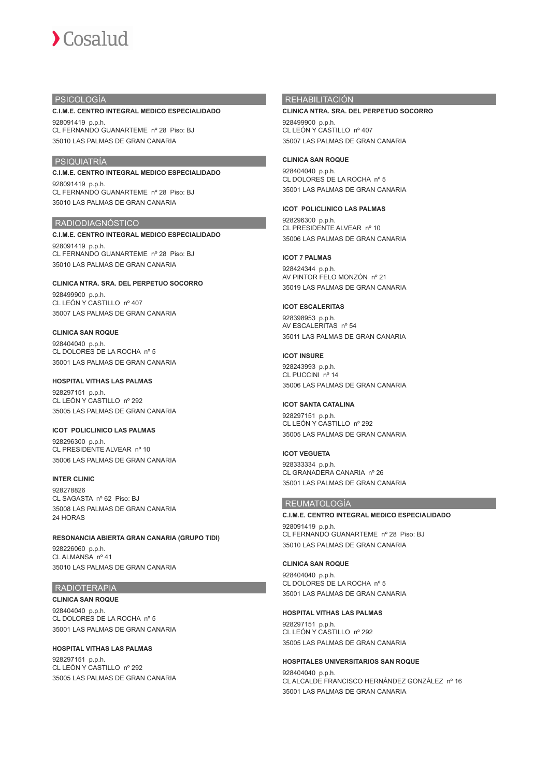#### PSICOLOGÍA

#### **C.I.M.E. CENTRO INTEGRAL MEDICO ESPECIALIDADO**

928091419 p.p.h. CL FERNANDO GUANARTEME nº 28 Piso: BJ 35010 LAS PALMAS DE GRAN CANARIA

# PSIQUIATRÍA

## **C.I.M.E. CENTRO INTEGRAL MEDICO ESPECIALIDADO**

928091419 p.p.h. CL FERNANDO GUANARTEME nº 28 Piso: BJ 35010 LAS PALMAS DE GRAN CANARIA

# RADIODIAGNÓSTICO

# **C.I.M.E. CENTRO INTEGRAL MEDICO ESPECIALIDADO**

928091419 p.p.h. CL FERNANDO GUANARTEME nº 28 Piso: BJ 35010 LAS PALMAS DE GRAN CANARIA

#### **CLINICA NTRA. SRA. DEL PERPETUO SOCORRO** 928499900 p.p.h.

CL LEÓN Y CASTILLO nº 407 35007 LAS PALMAS DE GRAN CANARIA

#### **CLINICA SAN ROQUE**

928404040 p.p.h. CL DOLORES DE LA ROCHA nº 5 35001 LAS PALMAS DE GRAN CANARIA

### **HOSPITAL VITHAS LAS PALMAS**

928297151 p.p.h. CL LEÓN Y CASTILLO nº 292 35005 LAS PALMAS DE GRAN CANARIA

### **ICOT POLICLINICO LAS PALMAS**

928296300 p.p.h. CL PRESIDENTE ALVEAR nº 10 35006 LAS PALMAS DE GRAN CANARIA

# **INTER CLINIC**

928278826 CL SAGASTA nº 62 Piso: BJ 35008 LAS PALMAS DE GRAN CANARIA 24 HORAS

## **RESONANCIA ABIERTA GRAN CANARIA (GRUPO TIDI)**

928226060 p.p.h. CL ALMANSA nº 41 35010 LAS PALMAS DE GRAN CANARIA

## RADIOTERAPIA

**CLINICA SAN ROQUE** 928404040 p.p.h. CL DOLORES DE LA ROCHA nº 5 35001 LAS PALMAS DE GRAN CANARIA

#### **HOSPITAL VITHAS LAS PALMAS**

928297151 p.p.h. CL LEÓN Y CASTILLO nº 292 35005 LAS PALMAS DE GRAN CANARIA

#### REHABILITACIÓN

# **CLINICA NTRA. SRA. DEL PERPETUO SOCORRO** 928499900 p.p.h.

CL LEÓN Y CASTILLO nº 407 35007 LAS PALMAS DE GRAN CANARIA

#### **CLINICA SAN ROQUE**

928404040 p.p.h. CL DOLORES DE LA ROCHA nº 5 35001 LAS PALMAS DE GRAN CANARIA

#### **ICOT POLICLINICO LAS PALMAS**

928296300 p.p.h. CL PRESIDENTE ALVEAR nº 10 35006 LAS PALMAS DE GRAN CANARIA

# **ICOT 7 PALMAS**

928424344 p.p.h. AV PINTOR FELO MONZÓN nº 21 35019 LAS PALMAS DE GRAN CANARIA

#### **ICOT ESCALERITAS**

928398953 p.p.h. AV ESCALERITAS nº 54 35011 LAS PALMAS DE GRAN CANARIA

#### **ICOT INSURE**

928243993 p.p.h. CL PUCCINI nº 14 35006 LAS PALMAS DE GRAN CANARIA

#### **ICOT SANTA CATALINA**

928297151 p.p.h. CL LEÓN Y CASTILLO nº 292 35005 LAS PALMAS DE GRAN CANARIA

## **ICOT VEGUETA**

928333334 p.p.h. CL GRANADERA CANARIA nº 26 35001 LAS PALMAS DE GRAN CANARIA

#### REUMATOLOGÍA

**C.I.M.E. CENTRO INTEGRAL MEDICO ESPECIALIDADO** 928091419 p.p.h. CL FERNANDO GUANARTEME nº 28 Piso: BJ 35010 LAS PALMAS DE GRAN CANARIA

## **CLINICA SAN ROQUE**

928404040 p.p.h. CL DOLORES DE LA ROCHA nº 5 35001 LAS PALMAS DE GRAN CANARIA

#### **HOSPITAL VITHAS LAS PALMAS**

928297151 p.p.h. CL LEÓN Y CASTILLO nº 292 35005 LAS PALMAS DE GRAN CANARIA

# **HOSPITALES UNIVERSITARIOS SAN ROQUE** 928404040 p.p.h.

CL ALCALDE FRANCISCO HERNÁNDEZ GONZÁLEZ nº 16 35001 LAS PALMAS DE GRAN CANARIA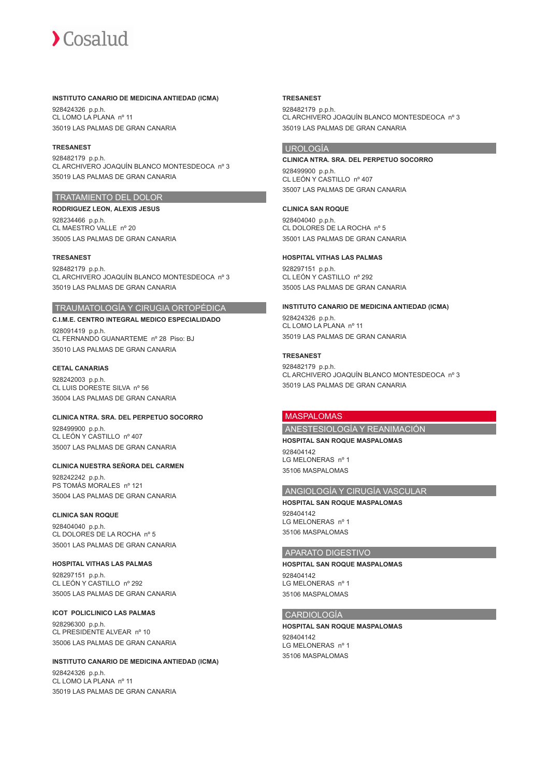#### **INSTITUTO CANARIO DE MEDICINA ANTIEDAD (ICMA)**

928424326 p.p.h. CL LOMO LA PLANA nº 11 35019 LAS PALMAS DE GRAN CANARIA

#### **TRESANEST**

928482179 p.p.h. CL ARCHIVERO JOAQUÍN BLANCO MONTESDEOCA nº 3 35019 LAS PALMAS DE GRAN CANARIA

# TRATAMIENTO DEL DOLOR

**RODRIGUEZ LEON, ALEXIS JESUS** 928234466 p.p.h. CL MAESTRO VALLE nº 20 35005 LAS PALMAS DE GRAN CANARIA

# **TRESANEST**

928482179 p.p.h. CL ARCHIVERO JOAQUÍN BLANCO MONTESDEOCA nº 3 35019 LAS PALMAS DE GRAN CANARIA

# TRAUMATOLOGÍA Y CIRUGIA ORTOPÉDICA

**C.I.M.E. CENTRO INTEGRAL MEDICO ESPECIALIDADO** 928091419 p.p.h. CL FERNANDO GUANARTEME nº 28 Piso: BJ 35010 LAS PALMAS DE GRAN CANARIA

#### **CETAL CANARIAS**

928242003 p.p.h. CL LUIS DORESTE SILVA nº 56 35004 LAS PALMAS DE GRAN CANARIA

# **CLINICA NTRA. SRA. DEL PERPETUO SOCORRO**

928499900 p.p.h. CL LEÓN Y CASTILLO nº 407 35007 LAS PALMAS DE GRAN CANARIA

#### **CLINICA NUESTRA SEÑORA DEL CARMEN**

928242242 p.p.h. PS TOMÁS MORALES nº 121 35004 LAS PALMAS DE GRAN CANARIA

#### **CLINICA SAN ROQUE**

928404040 p.p.h. CL DOLORES DE LA ROCHA nº 5 35001 LAS PALMAS DE GRAN CANARIA

#### **HOSPITAL VITHAS LAS PALMAS**

928297151 p.p.h. CL LEÓN Y CASTILLO nº 292 35005 LAS PALMAS DE GRAN CANARIA

#### **ICOT POLICLINICO LAS PALMAS** 928296300 p.p.h.

CL PRESIDENTE ALVEAR nº 10 35006 LAS PALMAS DE GRAN CANARIA

#### **INSTITUTO CANARIO DE MEDICINA ANTIEDAD (ICMA)** 928424326 p.p.h. CL LOMO LA PLANA nº 11

35019 LAS PALMAS DE GRAN CANARIA

#### **TRESANEST**

928482179 p.p.h. CL ARCHIVERO JOAQUÍN BLANCO MONTESDEOCA nº 3 35019 LAS PALMAS DE GRAN CANARIA

# **UROLOGÍA**

# **CLINICA NTRA. SRA. DEL PERPETUO SOCORRO** 928499900 p.p.h. CL LEÓN Y CASTILLO nº 407

35007 LAS PALMAS DE GRAN CANARIA

# **CLINICA SAN ROQUE**

928404040 p.p.h. CL DOLORES DE LA ROCHA nº 5 35001 LAS PALMAS DE GRAN CANARIA

#### **HOSPITAL VITHAS LAS PALMAS**

928297151 p.p.h. CL LEÓN Y CASTILLO nº 292 35005 LAS PALMAS DE GRAN CANARIA

#### **INSTITUTO CANARIO DE MEDICINA ANTIEDAD (ICMA)**

928424326 p.p.h. CL LOMO LA PLANA nº 11 35019 LAS PALMAS DE GRAN CANARIA

#### **TRESANEST**

928482179 p.p.h. CL ARCHIVERO JOAQUÍN BLANCO MONTESDEOCA nº 3 35019 LAS PALMAS DE GRAN CANARIA

#### MASPALOMAS

ANESTESIOLOGÍA Y REANIMACIÓN

#### **HOSPITAL SAN ROQUE MASPALOMAS** 928404142

LG MELONERAS nº 1 35106 MASPALOMAS

# ANGIOLOGÍA Y CIRUGÍA VASCULAR

**HOSPITAL SAN ROQUE MASPALOMAS** 028404142 LG MELONERAS nº 1 35106 MASPALOMAS

# APARATO DIGESTIVO

**HOSPITAL SAN ROQUE MASPALOMAS** 928404142 LG MELONERAS nº 1 35106 MASPALOMAS

# **CARDIOLOGÍA**

**HOSPITAL SAN ROQUE MASPALOMAS** 928404142 LG MELONERAS nº 1 35106 MASPALOMAS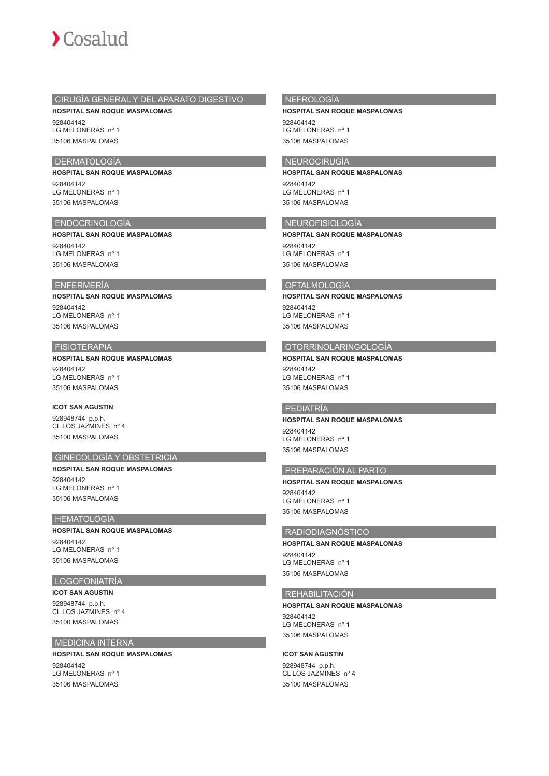

# CIRUGÍA GENERAL Y DEL APARATO DIGESTIVO **HOSPITAL SAN ROQUE MASPALOMAS**

928404142 LG MELONERAS nº 1 35106 MASPALOMAS

# DERMATOLOGÍA

**HOSPITAL SAN ROQUE MASPALOMAS** 928404142 LG MELONERAS nº 1 35106 MASPALOMAS

#### ENDOCRINOLOGÍA

**HOSPITAL SAN ROQUE MASPALOMAS** 928404142 LG MELONERAS nº 1 35106 MASPALOMAS

# ENFERMERÍA

**HOSPITAL SAN ROQUE MASPALOMAS** 928404142 LG MELONERAS nº 1 35106 MASPALOMAS

### FISIOTERAPIA

**HOSPITAL SAN ROQUE MASPALOMAS** 928404142 LG MELONERAS nº 1 35106 MASPALOMAS

## **ICOT SAN AGUSTIN**

928948744 p.p.h. CL LOS JAZMINES nº 4 35100 MASPALOMAS

### GINECOLOGÍA Y OBSTETRICIA

**HOSPITAL SAN ROQUE MASPALOMAS** 928404142 LG MELONERAS nº 1 35106 MASPALOMAS

# HEMATOLOGÍA

**HOSPITAL SAN ROQUE MASPALOMAS** 928404142 LG MELONERAS nº 1 35106 MASPALOMAS

# LOGOFONIATRÍA

**ICOT SAN AGUSTIN** 928948744 p.p.h. CL LOS JAZMINES nº 4 35100 MASPALOMAS

#### MEDICINA INTERNA

**HOSPITAL SAN ROQUE MASPALOMAS** 928404142 LG MELONERAS nº 1 35106 MASPALOMAS

### NEFROLOGÍA

**HOSPITAL SAN ROQUE MASPALOMAS**

928404142 LG MELONERAS nº 1 35106 MASPALOMAS

### NEUROCIRUGÍA

**HOSPITAL SAN ROQUE MASPALOMAS** 928404142

LG MELONERAS nº 1 35106 MASPALOMAS

# NEUROFISIOLOGÍA

**HOSPITAL SAN ROQUE MASPALOMAS** 928404142 LG MELONERAS nº 1 35106 MASPALOMAS

# **OFTALMOLOGÍA**

**HOSPITAL SAN ROQUE MASPALOMAS** 928404142 LG MELONERAS nº 1 35106 MASPALOMAS

### OTORRINOLARINGOLOGÍA

**HOSPITAL SAN ROQUE MASPALOMAS** 928404142 LG MELONERAS nº 1 35106 MASPALOMAS

# PEDIATRÍA

**HOSPITAL SAN ROQUE MASPALOMAS** 928404142 LG MELONERAS nº 1 35106 MASPALOMAS

# PREPARACIÓN AL PARTO

**HOSPITAL SAN ROQUE MASPALOMAS** 928404142 LG MELONERAS nº 1 35106 MASPALOMAS

#### RADIODIAGNÓSTICO

**HOSPITAL SAN ROQUE MASPALOMAS**

928404142 LG MELONERAS nº 1 35106 MASPALOMAS

### REHABILITACIÓN

#### **HOSPITAL SAN ROQUE MASPALOMAS**

928404142 LG MELONERAS nº 1 35106 MASPALOMAS

#### **ICOT SAN AGUSTIN**

928948744 p.p.h. CL LOS JAZMINES nº 4 35100 MASPALOMAS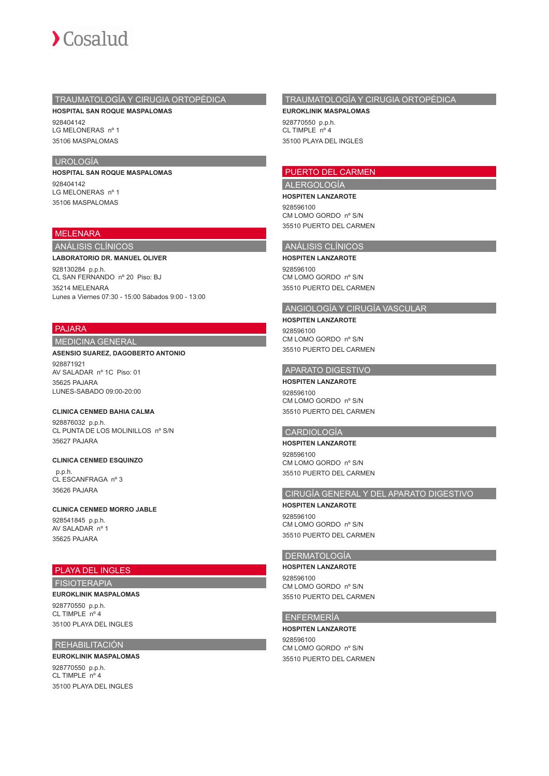

# TRAUMATOLOGÍA Y CIRUGIA ORTOPÉDICA

**HOSPITAL SAN ROQUE MASPALOMAS** 928404142 LG MELONERAS nº 1 35106 MASPALOMAS

## UROLOGÍA

**HOSPITAL SAN ROQUE MASPALOMAS** 928404142 LG MELONERAS nº 1 35106 MASPALOMAS

# MELENARA

# ANÁLISIS CLÍNICOS

#### **LABORATORIO DR. MANUEL OLIVER**

928130284 p.p.h. CL SAN FERNANDO nº 20 Piso: BJ 35214 MELENARA Lunes a Viernes 07:30 - 15:00 Sábados 9:00 - 13:00

# PAJARA

## MEDICINA GENERAL

#### **ASENSIO SUAREZ, DAGOBERTO ANTONIO**

928871921 AV SALADAR nº 1C Piso: 01 35625 PAJARA LUNES-SABADO 09:00-20:00

# **CLINICA CENMED BAHIA CALMA**

928876032 p.p.h. CL PUNTA DE LOS MOLINILLOS nº S/N 35627 PAJARA

#### **CLINICA CENMED ESQUINZO**

 p.p.h. CL ESCANFRAGA nº 3 35626 PAJARA

# **CLINICA CENMED MORRO JABLE**

928541845 p.p.h. AV SALADAR nº 1 35625 PAJARA

# PLAYA DEL INGLES

FISIOTERAPIA

# **EUROKLINIK MASPALOMAS**

928770550 p.p.h. CL TIMPLE  $n^{\circ}$  4 35100 PLAYA DEL INGLES

# REHABILITACIÓN

**EUROKLINIK MASPALOMAS** 928770550 p.p.h. CL TIMPLE nº 4 35100 PLAYA DEL INGLES

# TRAUMATOLOGÍA Y CIRUGIA ORTOPÉDICA

**EUROKLINIK MASPALOMAS** 928770550 p.p.h. CL TIMPLE nº 4 35100 PLAYA DEL INGLES

# PUERTO DEL CARMEN

ALERGOLOGÍA

**HOSPITEN LANZAROTE** 928596100 CM LOMO GORDO nº S/N 35510 PUERTO DEL CARMEN

# ANÁLISIS CLÍNICOS

**HOSPITEN LANZAROTE** 928596100 CM LOMO GORDO nº S/N 35510 PUERTO DEL CARMEN

# ANGIOLOGÍA Y CIRUGÍA VASCULAR

**HOSPITEN LANZAROTE** 928596100 CM LOMO GORDO nº S/N 35510 PUERTO DEL CARMEN

#### APARATO DIGESTIVO

**HOSPITEN LANZAROTE** 928596100 CM LOMO GORDO nº S/N 35510 PUERTO DEL CARMEN

# CARDIOLOGÍA

#### **HOSPITEN LANZAROTE**

928596100 CM LOMO GORDO nº S/N 35510 PUERTO DEL CARMEN

## CIRUGÍA GENERAL Y DEL APARATO DIGESTIVO

**HOSPITEN LANZAROTE** 928596100 CM LOMO GORDO nº S/N 35510 PUERTO DEL CARMEN

#### DERMATOLOGÍA

**HOSPITEN LANZAROTE** 928596100 CM LOMO GORDO nº S/N 35510 PUERTO DEL CARMEN

#### ENFERMERÍA

**HOSPITEN LANZAROTE** 928596100 CM LOMO GORDO nº S/N 35510 PUERTO DEL CARMEN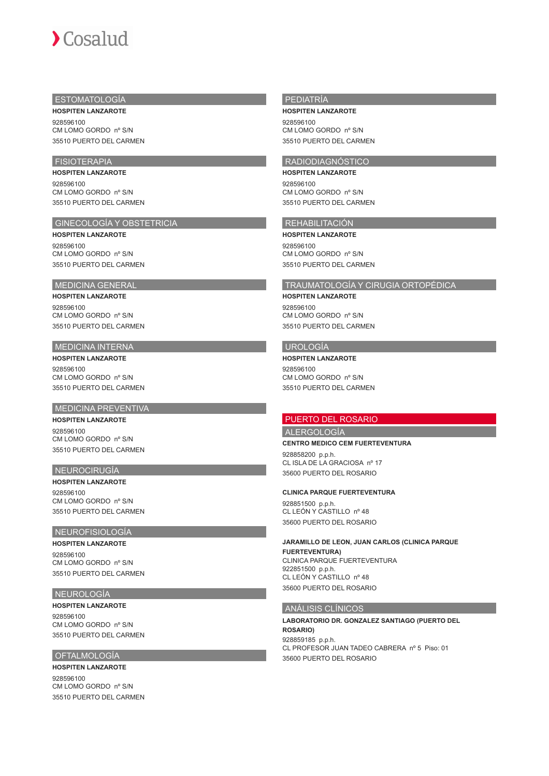# $\sum$  Cosalud

# ESTOMATOLOGÍA

**HOSPITEN LANZAROTE** 928596100 CM LOMO GORDO nº S/N 35510 PUERTO DEL CARMEN

# FISIOTERAPIA

**HOSPITEN LANZAROTE** 928596100 CM LOMO GORDO nº S/N 35510 PUERTO DEL CARMEN

# GINECOLOGÍA Y OBSTETRICIA

**HOSPITEN LANZAROTE** 928596100 CM LOMO GORDO nº S/N 35510 PUERTO DEL CARMEN

#### MEDICINA GENERAL

# **HOSPITEN LANZAROTE**

928596100 CM LOMO GORDO nº S/N 35510 PUERTO DEL CARMEN

# MEDICINA INTERNA

**HOSPITEN LANZAROTE** 928596100 CM LOMO GORDO nº S/N 35510 PUERTO DEL CARMEN

# **MEDICINA PREVENTIVA**

**HOSPITEN LANZAROTE** 928596100 CM LOMO GORDO nº S/N 35510 PUERTO DEL CARMEN

# NEUROCIRUGÍA

**HOSPITEN LANZAROTE** 928596100 CM LOMO GORDO nº S/N 35510 PUERTO DEL CARMEN

# NEUROFISIOLOGÍA

**HOSPITEN LANZAROTE** 928596100 CM LOMO GORDO nº S/N 35510 PUERTO DEL CARMEN

# NEUROLOGÍA

**HOSPITEN LANZAROTE** 928596100 CM LOMO GORDO nº S/N 35510 PUERTO DEL CARMEN

#### OFTALMOLOGÍA

**HOSPITEN LANZAROTE** 928596100 CM LOMO GORDO nº S/N 35510 PUERTO DEL CARMEN

# PEDIATRÍA

**HOSPITEN LANZAROTE** 928596100 CM LOMO GORDO nº S/N 35510 PUERTO DEL CARMEN

# RADIODIAGNÓSTICO **HOSPITEN LANZAROTE**

928596100 CM LOMO GORDO nº S/N 35510 PUERTO DEL CARMEN

# REHABILITACIÓN

**HOSPITEN LANZAROTE** 928596100 CM LOMO GORDO nº S/N 35510 PUERTO DEL CARMEN

# TRAUMATOLOGÍA Y CIRUGIA ORTOPÉDICA

**HOSPITEN LANZAROTE** 928596100 CM LOMO GORDO nº S/N 35510 PUERTO DEL CARMEN

# UROLOGÍA

**HOSPITEN LANZAROTE** 928596100 CM LOMO GORDO nº S/N 35510 PUERTO DEL CARMEN

# PUERTO DEL ROSARIO

ALERGOLOGÍA

**CENTRO MEDICO CEM FUERTEVENTURA**

928858200 p.p.h. CL ISLA DE LA GRACIOSA nº 17 35600 PUERTO DEL ROSARIO

#### **CLINICA PARQUE FUERTEVENTURA**

928851500 p.p.h. CL LEÓN Y CASTILLO nº 48 35600 PUERTO DEL ROSARIO

**JARAMILLO DE LEON, JUAN CARLOS (CLINICA PARQUE FUERTEVENTURA)** CLINICA PARQUE FUERTEVENTURA 922851500 p.p.h. CL LEÓN Y CASTILLO nº 48 35600 PUERTO DEL ROSARIO

## ANÁLISIS CLÍNICOS

**LABORATORIO DR. GONZALEZ SANTIAGO (PUERTO DEL ROSARIO)** 928859185 p.p.h. CL PROFESOR JUAN TADEO CABRERA nº 5 Piso: 01 35600 PUERTO DEL ROSARIO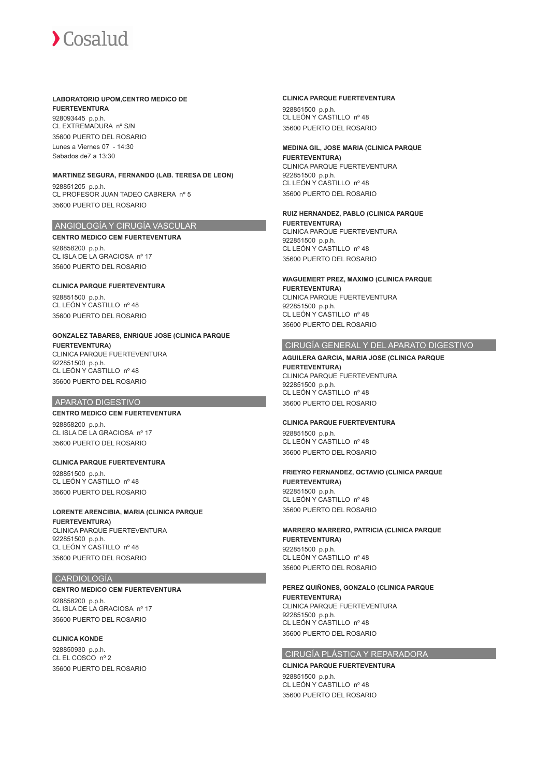## **LABORATORIO UPOM,CENTRO MEDICO DE FUERTEVENTURA**

928093445 p.p.h. CL EXTREMADURA nº S/N 35600 PUERTO DEL ROSARIO Lunes a Viernes 07 - 14:30 Sabados de7 a 13:30

#### **MARTINEZ SEGURA, FERNANDO (LAB. TERESA DE LEON)**

928851205 p.p.h. CL PROFESOR JUAN TADEO CABRERA nº 5 35600 PUERTO DEL ROSARIO

# ANGIOLOGÍA Y CIRUGÍA VASCULAR

**CENTRO MEDICO CEM FUERTEVENTURA** 928858200 p.p.h. CL ISLA DE LA GRACIOSA nº 17 35600 PUERTO DEL ROSARIO

# **CLINICA PARQUE FUERTEVENTURA** 928851500 p.p.h.

CL LEÓN Y CASTILLO nº 48 35600 PUERTO DEL ROSARIO

#### **GONZALEZ TABARES, ENRIQUE JOSE (CLINICA PARQUE FUERTEVENTURA)**

CLINICA PARQUE FUERTEVENTURA 922851500 p.p.h. CL LEÓN Y CASTILLO nº 48 35600 PUERTO DEL ROSARIO

#### APARATO DIGESTIVO

#### **CENTRO MEDICO CEM FUERTEVENTURA**

928858200 p.p.h. CL ISLA DE LA GRACIOSA nº 17 35600 PUERTO DEL ROSARIO

# **CLINICA PARQUE FUERTEVENTURA**

928851500 p.p.h. CL LEÓN Y CASTILLO nº 48 35600 PUERTO DEL ROSARIO

#### **LORENTE ARENCIBIA, MARIA (CLINICA PARQUE FUERTEVENTURA)** CLINICA PARQUE FUERTEVENTURA

922851500 p.p.h. CL LEÓN Y CASTILLO nº 48 35600 PUERTO DEL ROSARIO

# CARDIOLOGÍA

#### **CENTRO MEDICO CEM FUERTEVENTURA**

928858200 p.p.h. CL ISLA DE LA GRACIOSA nº 17 35600 PUERTO DEL ROSARIO

# **CLINICA KONDE**

928850930 p.p.h. CL EL COSCO nº 2 35600 PUERTO DEL ROSARIO

## **CLINICA PARQUE FUERTEVENTURA**

928851500 p.p.h. CL LEÓN Y CASTILLO nº 48 35600 PUERTO DEL ROSARIO

#### **MEDINA GIL, JOSE MARIA (CLINICA PARQUE FUERTEVENTURA)** CLINICA PARQUE FUERTEVENTURA 922851500 p.p.h. CL LEÓN Y CASTILLO nº 48 35600 PUERTO DEL ROSARIO

#### **RUIZ HERNANDEZ, PABLO (CLINICA PARQUE FUERTEVENTURA)** CLINICA PARQUE FUERTEVENTURA 922851500 p.p.h. CL LEÓN Y CASTILLO nº 48 35600 PUERTO DEL ROSARIO

**WAGUEMERT PREZ, MAXIMO (CLINICA PARQUE FUERTEVENTURA)** CLINICA PARQUE FUERTEVENTURA 922851500 p.p.h. CL LEÓN Y CASTILLO nº 48 35600 PUERTO DEL ROSARIO

# CIRUGÍA GENERAL Y DEL APARATO DIGESTIVO

#### **AGUILERA GARCIA, MARIA JOSE (CLINICA PARQUE FUERTEVENTURA)** CLINICA PARQUE FUERTEVENTURA 922851500 p.p.h. CL LEÓN Y CASTILLO nº 48 35600 PUERTO DEL ROSARIO

# **CLINICA PARQUE FUERTEVENTURA**

928851500 p.p.h. CL LEÓN Y CASTILLO nº 48 35600 PUERTO DEL ROSARIO

#### **FRIEYRO FERNANDEZ, OCTAVIO (CLINICA PARQUE FUERTEVENTURA)** 922851500 p.p.h. CL LEÓN Y CASTILLO nº 48 35600 PUERTO DEL ROSARIO

# **MARRERO MARRERO, PATRICIA (CLINICA PARQUE FUERTEVENTURA)** 922851500 p.p.h.

CL LEÓN Y CASTILLO nº 48 35600 PUERTO DEL ROSARIO

# **PEREZ QUIÑONES, GONZALO (CLINICA PARQUE**

**FUERTEVENTURA)** CLINICA PARQUE FUERTEVENTURA 922851500 p.p.h. CL LEÓN Y CASTILLO nº 48 35600 PUERTO DEL ROSARIO

#### CIRUGÍA PLÁSTICA Y REPARADORA

**CLINICA PARQUE FUERTEVENTURA** 928851500 p.p.h. CL LEÓN Y CASTILLO nº 48 35600 PUERTO DEL ROSARIO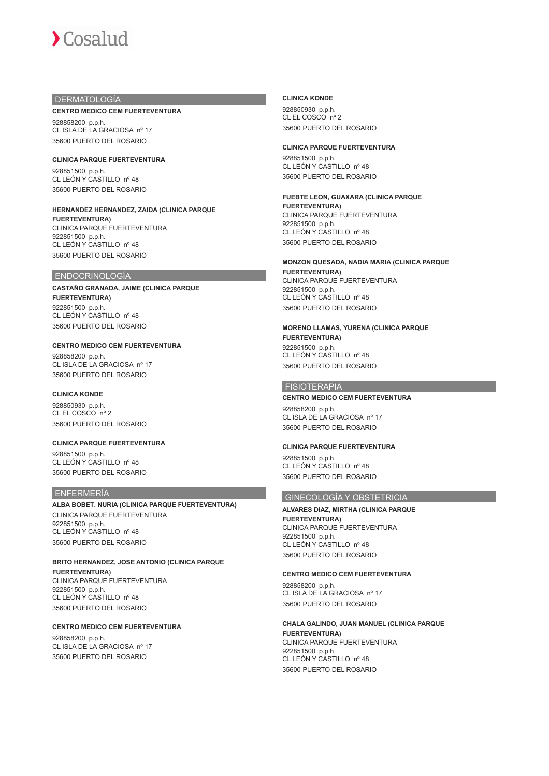# DERMATOLOGÍA

#### **CENTRO MEDICO CEM FUERTEVENTURA**

928858200 p.p.h. CL ISLA DE LA GRACIOSA nº 17 35600 PUERTO DEL ROSARIO

### **CLINICA PARQUE FUERTEVENTURA**

928851500 p.p.h. CL LEÓN Y CASTILLO nº 48 35600 PUERTO DEL ROSARIO

#### **HERNANDEZ HERNANDEZ, ZAIDA (CLINICA PARQUE FUERTEVENTURA)** CLINICA PARQUE FUERTEVENTURA

922851500 p.p.h. CL LEÓN Y CASTILLO nº 48 35600 PUERTO DEL ROSARIO

#### ENDOCRINOLOGÍA

#### **CASTAÑO GRANADA, JAIME (CLINICA PARQUE FUERTEVENTURA)** 922851500 p.p.h. CL LEÓN Y CASTILLO nº 48 35600 PUERTO DEL ROSARIO

#### **CENTRO MEDICO CEM FUERTEVENTURA**

928858200 p.p.h. CL ISLA DE LA GRACIOSA nº 17 35600 PUERTO DEL ROSARIO

#### **CLINICA KONDE**

928850930 p.p.h. CL EL COSCO nº 2 35600 PUERTO DEL ROSARIO

**CLINICA PARQUE FUERTEVENTURA** 928851500 p.p.h. CL LEÓN Y CASTILLO nº 48 35600 PUERTO DEL ROSARIO

#### ENFERMERÍA

**ALBA BOBET, NURIA (CLINICA PARQUE FUERTEVENTURA)** CLINICA PARQUE FUERTEVENTURA 922851500 p.p.h. CL LEÓN Y CASTILLO nº 48 35600 PUERTO DEL ROSARIO

#### **BRITO HERNANDEZ, JOSE ANTONIO (CLINICA PARQUE FUERTEVENTURA)** CLINICA PARQUE FUERTEVENTURA 922851500 p.p.h. CL LEÓN Y CASTILLO nº 48 35600 PUERTO DEL ROSARIO

#### **CENTRO MEDICO CEM FUERTEVENTURA**

928858200 p.p.h. CL ISLA DE LA GRACIOSA nº 17 35600 PUERTO DEL ROSARIO

#### **CLINICA KONDE**

928850930 p.p.h. CL EL COSCO nº 2 35600 PUERTO DEL ROSARIO

#### **CLINICA PARQUE FUERTEVENTURA**

928851500 p.p.h. CL LEÓN Y CASTILLO nº 48 35600 PUERTO DEL ROSARIO

# **FUEBTE LEON, GUAXARA (CLINICA PARQUE**

**FUERTEVENTURA)** CLINICA PARQUE FUERTEVENTURA 922851500 p.p.h. CL LEÓN Y CASTILLO nº 48 35600 PUERTO DEL ROSARIO

#### **MONZON QUESADA, NADIA MARIA (CLINICA PARQUE**

**FUERTEVENTURA)** CLINICA PARQUE FUERTEVENTURA 922851500 p.p.h. CL LEÓN Y CASTILLO nº 48 35600 PUERTO DEL ROSARIO

#### **MORENO LLAMAS, YURENA (CLINICA PARQUE FUERTEVENTURA)** 922851500 p.p.h.

CL LEÓN Y CASTILLO nº 48 35600 PUERTO DEL ROSARIO

# **FISIOTERAPIA**

# **CENTRO MEDICO CEM FUERTEVENTURA**

928858200 p.p.h. CL ISLA DE LA GRACIOSA nº 17 35600 PUERTO DEL ROSARIO

#### **CLINICA PARQUE FUERTEVENTURA**

928851500 p.p.h. CL LEÓN Y CASTILLO nº 48 35600 PUERTO DEL ROSARIO

# GINECOLOGÍA Y OBSTETRICIA

# **ALVARES DIAZ, MIRTHA (CLINICA PARQUE**

**FUERTEVENTURA)** CLINICA PARQUE FUERTEVENTURA 922851500 p.p.h. CL LEÓN Y CASTILLO nº 48 35600 PUERTO DEL ROSARIO

#### **CENTRO MEDICO CEM FUERTEVENTURA**

928858200 p.p.h. CL ISLA DE LA GRACIOSA nº 17 35600 PUERTO DEL ROSARIO

# **CHALA GALINDO, JUAN MANUEL (CLINICA PARQUE**

**FUERTEVENTURA)** CLINICA PARQUE FUERTEVENTURA 922851500 p.p.h. CL LEÓN Y CASTILLO nº 48 35600 PUERTO DEL ROSARIO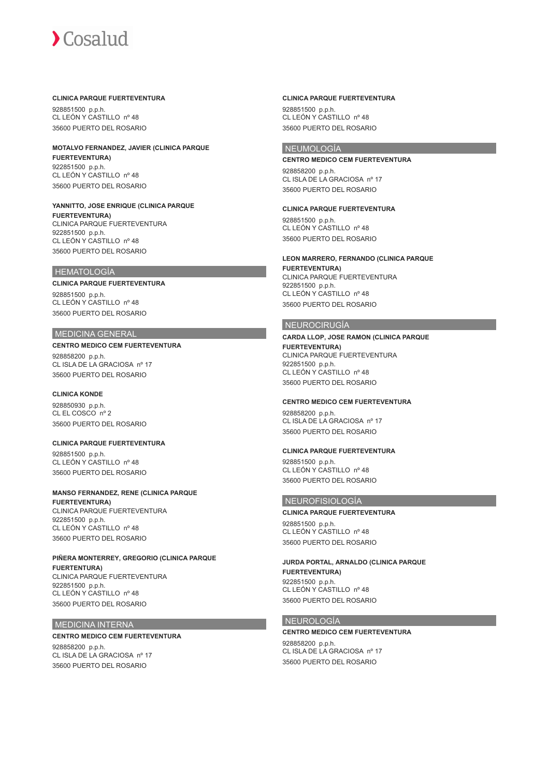#### **CLINICA PARQUE FUERTEVENTURA**

928851500 p.p.h. CL LEÓN Y CASTILLO nº 48 35600 PUERTO DEL ROSARIO

#### **MOTALVO FERNANDEZ, JAVIER (CLINICA PARQUE FUERTEVENTURA)** 922851500 p.p.h. CL LEÓN Y CASTILLO nº 48

35600 PUERTO DEL ROSARIO

#### **YANNITTO, JOSE ENRIQUE (CLINICA PARQUE FUERTEVENTURA)** CLINICA PARQUE FUERTEVENTURA

922851500 p.p.h. CL LEÓN Y CASTILLO nº 48 35600 PUERTO DEL ROSARIO

## HEMATOLOGÍA

#### **CLINICA PARQUE FUERTEVENTURA**

928851500 p.p.h. CL LEÓN Y CASTILLO nº 48 35600 PUERTO DEL ROSARIO

#### MEDICINA GENERAL

# **CENTRO MEDICO CEM FUERTEVENTURA**

928858200 p.p.h. CL ISLA DE LA GRACIOSA nº 17 35600 PUERTO DEL ROSARIO

# **CLINICA KONDE**

928850930 p.p.h. CL EL COSCO nº 2 35600 PUERTO DEL ROSARIO

#### **CLINICA PARQUE FUERTEVENTURA** 928851500 p.p.h. CL LEÓN Y CASTILLO nº 48 35600 PUERTO DEL ROSARIO

#### **MANSO FERNANDEZ, RENE (CLINICA PARQUE FUERTEVENTURA)** CLINICA PARQUE FUERTEVENTURA

922851500 p.p.h. CL LEÓN Y CASTILLO nº 48 35600 PUERTO DEL ROSARIO

#### **PIÑERA MONTERREY, GREGORIO (CLINICA PARQUE FUERTENTURA)** CLINICA PARQUE FUERTEVENTURA 922851500 p.p.h. CL LEÓN Y CASTILLO nº 48 35600 PUERTO DEL ROSARIO

#### MEDICINA INTERNA

#### **CENTRO MEDICO CEM FUERTEVENTURA**

928858200 p.p.h. CL ISLA DE LA GRACIOSA nº 17 35600 PUERTO DEL ROSARIO

## **CLINICA PARQUE FUERTEVENTURA**

928851500 p.p.h. CL LEÓN Y CASTILLO nº 48 35600 PUERTO DEL ROSARIO

# NEUMOLOGÍA

#### **CENTRO MEDICO CEM FUERTEVENTURA** 928858200 p.p.h. CL ISLA DE LA GRACIOSA nº 17 35600 PUERTO DEL ROSARIO

**CLINICA PARQUE FUERTEVENTURA** 928851500 p.p.h. CL LEÓN Y CASTILLO nº 48 35600 PUERTO DEL ROSARIO

# **LEON MARRERO, FERNANDO (CLINICA PARQUE**

**FUERTEVENTURA)** CLINICA PARQUE FUERTEVENTURA 922851500 p.p.h. CL LEÓN Y CASTILLO nº 48 35600 PUERTO DEL ROSARIO

# NEUROCIRUGÍA

**CARDA LLOP, JOSE RAMON (CLINICA PARQUE FUERTEVENTURA)** CLINICA PARQUE FUERTEVENTURA 922851500 p.p.h. CL LEÓN Y CASTILLO nº 48 35600 PUERTO DEL ROSARIO

# **CENTRO MEDICO CEM FUERTEVENTURA**

928858200 p.p.h. CL ISLA DE LA GRACIOSA nº 17 35600 PUERTO DEL ROSARIO

**CLINICA PARQUE FUERTEVENTURA** 928851500 p.p.h. CL LEÓN Y CASTILLO nº 48 35600 PUERTO DEL ROSARIO

#### NEUROFISIOLOGÍA

**CLINICA PARQUE FUERTEVENTURA** 928851500 p.p.h. CL LEÓN Y CASTILLO nº 48 35600 PUERTO DEL ROSARIO

#### **JURDA PORTAL, ARNALDO (CLINICA PARQUE FUERTEVENTURA)** 922851500 p.p.h.

CL LEÓN Y CASTILLO nº 48 35600 PUERTO DEL ROSARIO

# NEUROLOGÍA

# **CENTRO MEDICO CEM FUERTEVENTURA**

928858200 p.p.h. CL ISLA DE LA GRACIOSA nº 17 35600 PUERTO DEL ROSARIO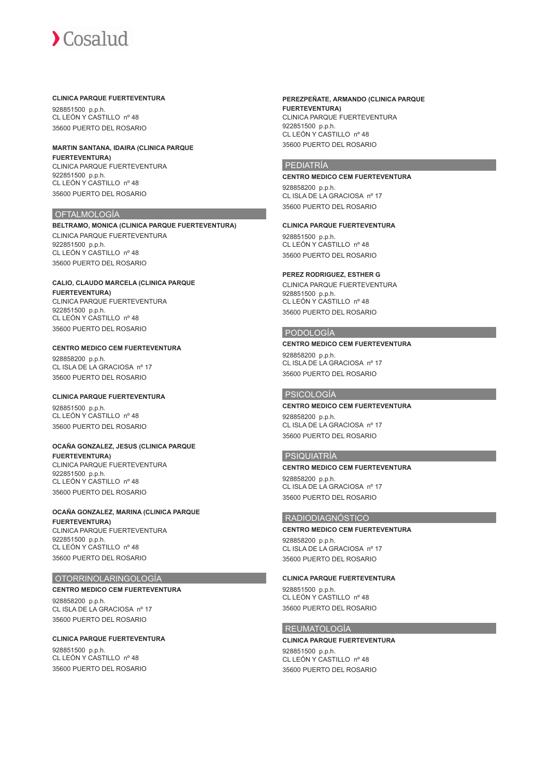#### **CLINICA PARQUE FUERTEVENTURA**

928851500 p.p.h. CL LEÓN Y CASTILLO nº 48 35600 PUERTO DEL ROSARIO

# **MARTIN SANTANA, IDAIRA (CLINICA PARQUE FUERTEVENTURA)**

CLINICA PARQUE FUERTEVENTURA 922851500 p.p.h. CL LEÓN Y CASTILLO nº 48 35600 PUERTO DEL ROSARIO

#### **OFTALMOLOGÍA**

**BELTRAMO, MONICA (CLINICA PARQUE FUERTEVENTURA)** CLINICA PARQUE FUERTEVENTURA 922851500 p.p.h. CL LEÓN Y CASTILLO nº 48 35600 PUERTO DEL ROSARIO

# **CALIO, CLAUDO MARCELA (CLINICA PARQUE**

**FUERTEVENTURA)** CLINICA PARQUE FUERTEVENTURA 922851500 p.p.h. CL LEÓN Y CASTILLO nº 48 35600 PUERTO DEL ROSARIO

### **CENTRO MEDICO CEM FUERTEVENTURA**

928858200 p.p.h. CL ISLA DE LA GRACIOSA nº 17 35600 PUERTO DEL ROSARIO

# **CLINICA PARQUE FUERTEVENTURA** 928851500 p.p.h.

CL LEÓN Y CASTILLO nº 48 35600 PUERTO DEL ROSARIO

#### **OCAÑA GONZALEZ, JESUS (CLINICA PARQUE FUERTEVENTURA)**

CLINICA PARQUE FUERTEVENTURA 922851500 p.p.h. CL LEÓN Y CASTILLO nº 48 35600 PUERTO DEL ROSARIO

#### **OCAÑA GONZALEZ, MARINA (CLINICA PARQUE FUERTEVENTURA)** CLINICA PARQUE FUERTEVENTURA 922851500 p.p.h. CL LEÓN Y CASTILLO nº 48

35600 PUERTO DEL ROSARIO

# OTORRINOLARINGOLOGÍA

# **CENTRO MEDICO CEM FUERTEVENTURA**

928858200 p.p.h. CL ISLA DE LA GRACIOSA nº 17 35600 PUERTO DEL ROSARIO

# **CLINICA PARQUE FUERTEVENTURA**

928851500 p.p.h. CL LEÓN Y CASTILLO nº 48 35600 PUERTO DEL ROSARIO

#### **PEREZPEÑATE, ARMANDO (CLINICA PARQUE FUERTEVENTURA)** CLINICA PARQUE FUERTEVENTURA 922851500 p.p.h. CL LEÓN Y CASTILLO nº 48 35600 PUERTO DEL ROSARIO

# PEDIATRÍA

### **CENTRO MEDICO CEM FUERTEVENTURA**

928858200 p.p.h. CL ISLA DE LA GRACIOSA nº 17 35600 PUERTO DEL ROSARIO

# **CLINICA PARQUE FUERTEVENTURA**

928851500 p.p.h. CL LEÓN Y CASTILLO nº 48 35600 PUERTO DEL ROSARIO

#### **PEREZ RODRIGUEZ, ESTHER G**

CLINICA PARQUE FUERTEVENTURA 928851500 p.p.h. CL LEÓN Y CASTILLO nº 48 35600 PUERTO DEL ROSARIO

#### PODOLOGÍA

#### **CENTRO MEDICO CEM FUERTEVENTURA**

928858200 p.p.h. CL ISLA DE LA GRACIOSA nº 17 35600 PUERTO DEL ROSARIO

# PSICOLOGÍA

# **CENTRO MEDICO CEM FUERTEVENTURA**

928858200 p.p.h. CL ISLA DE LA GRACIOSA nº 17 35600 PUERTO DEL ROSARIO

# PSIQUIATRÍA

#### **CENTRO MEDICO CEM FUERTEVENTURA**

928858200 p.p.h. CL ISLA DE LA GRACIOSA nº 17 35600 PUERTO DEL ROSARIO

# RADIODIAGNÓSTICO

**CENTRO MEDICO CEM FUERTEVENTURA** 928858200 p.p.h. CL ISLA DE LA GRACIOSA nº 17 35600 PUERTO DEL ROSARIO

### **CLINICA PARQUE FUERTEVENTURA**

928851500 p.p.h. CL LEÓN Y CASTILLO nº 48 35600 PUERTO DEL ROSARIO

# REUMATOLOGÍA

**CLINICA PARQUE FUERTEVENTURA** 928851500 p.p.h. CL LEÓN Y CASTILLO nº 48 35600 PUERTO DEL ROSARIO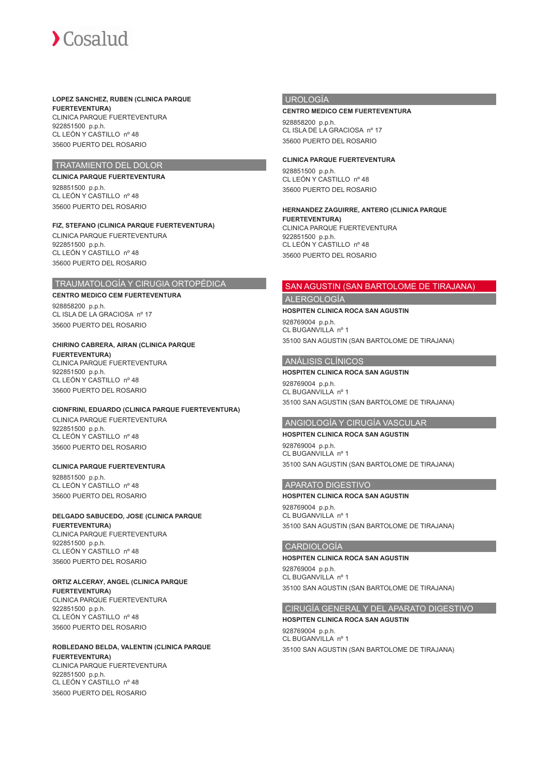

# **LOPEZ SANCHEZ, RUBEN (CLINICA PARQUE**

**FUERTEVENTURA)** CLINICA PARQUE FUERTEVENTURA 922851500 p.p.h. CL LEÓN Y CASTILLO nº 48 35600 PUERTO DEL ROSARIO

# TRATAMIENTO DEL DOLOR

## **CLINICA PARQUE FUERTEVENTURA**

928851500 p.p.h. CL LEÓN Y CASTILLO nº 48 35600 PUERTO DEL ROSARIO

# **FIZ, STEFANO (CLINICA PARQUE FUERTEVENTURA)**

CLINICA PARQUE FUERTEVENTURA 922851500 p.p.h. CL LEÓN Y CASTILLO nº 48 35600 PUERTO DEL ROSARIO

#### TRAUMATOLOGÍA Y CIRUGIA ORTOPÉDICA

#### **CENTRO MEDICO CEM FUERTEVENTURA**

928858200 p.p.h. CL ISLA DE LA GRACIOSA nº 17 35600 PUERTO DEL ROSARIO

# **CHIRINO CABRERA, AIRAN (CLINICA PARQUE**

**FUERTEVENTURA)** CLINICA PARQUE FUERTEVENTURA 922851500 p.p.h. CL LEÓN Y CASTILLO nº 48 35600 PUERTO DEL ROSARIO

# **CIONFRINI, EDUARDO (CLINICA PARQUE FUERTEVENTURA)**

CLINICA PARQUE FUERTEVENTURA 922851500 p.p.h. CL LEÓN Y CASTILLO nº 48 35600 PUERTO DEL ROSARIO

#### **CLINICA PARQUE FUERTEVENTURA**

928851500 p.p.h. CL LEÓN Y CASTILLO nº 48 35600 PUERTO DEL ROSARIO

# **DELGADO SABUCEDO, JOSE (CLINICA PARQUE**

**FUERTEVENTURA)** CLINICA PARQUE FUERTEVENTURA 922851500 p.p.h. CL LEÓN Y CASTILLO nº 48 35600 PUERTO DEL ROSARIO

# **ORTIZ ALCERAY, ANGEL (CLINICA PARQUE**

**FUERTEVENTURA)** CLINICA PARQUE FUERTEVENTURA 922851500 p.p.h. CL LEÓN Y CASTILLO nº 48 35600 PUERTO DEL ROSARIO

# **ROBLEDANO BELDA, VALENTIN (CLINICA PARQUE FUERTEVENTURA)**

CLINICA PARQUE FUERTEVENTURA 922851500 p.p.h. CL LEÓN Y CASTILLO nº 48 35600 PUERTO DEL ROSARIO

#### UROLOGÍA

#### **CENTRO MEDICO CEM FUERTEVENTURA**

928858200 p.p.h. CL ISLA DE LA GRACIOSA nº 17 35600 PUERTO DEL ROSARIO

### **CLINICA PARQUE FUERTEVENTURA**

928851500 p.p.h. CL LEÓN Y CASTILLO nº 48 35600 PUERTO DEL ROSARIO

#### **HERNANDEZ ZAGUIRRE, ANTERO (CLINICA PARQUE FUERTEVENTURA)** CLINICA PARQUE FUERTEVENTURA 922851500 p.p.h. CL LEÓN Y CASTILLO nº 48 35600 PUERTO DEL ROSARIO

# SAN AGUSTIN (SAN BARTOLOME DE TIRAJANA)

# ALERGOLOGÍA

**HOSPITEN CLINICA ROCA SAN AGUSTIN**

928769004 p.p.h. CL BUGANVILLA nº 1 35100 SAN AGUSTIN (SAN BARTOLOME DE TIRAJANA)

## ANÁLISIS CLÍNICOS

#### **HOSPITEN CLINICA ROCA SAN AGUSTIN**

928769004 p.p.h. CL BUGANVILLA nº 1 35100 SAN AGUSTIN (SAN BARTOLOME DE TIRAJANA)

# ANGIOLOGÍA Y CIRUGÍA VASCULAR

**HOSPITEN CLINICA ROCA SAN AGUSTIN** 928769004 p.p.h. CL BUGANVILLA nº 1 35100 SAN AGUSTIN (SAN BARTOLOME DE TIRAJANA)

# APARATO DIGESTIVO

#### **HOSPITEN CLINICA ROCA SAN AGUSTIN**

928769004 p.p.h. CL BUGANVILLA nº 1 35100 SAN AGUSTIN (SAN BARTOLOME DE TIRAJANA)

# CARDIOLOGÍA

#### **HOSPITEN CLINICA ROCA SAN AGUSTIN**

928769004 p.p.h. CL BUGANVILLA nº 1 35100 SAN AGUSTIN (SAN BARTOLOME DE TIRAJANA)

#### CIRUGÍA GENERAL Y DEL APARATO DIGESTIVO

# **HOSPITEN CLINICA ROCA SAN AGUSTIN**

928769004 p.p.h. CL BUGANVILLA nº 1 35100 SAN AGUSTIN (SAN BARTOLOME DE TIRAJANA)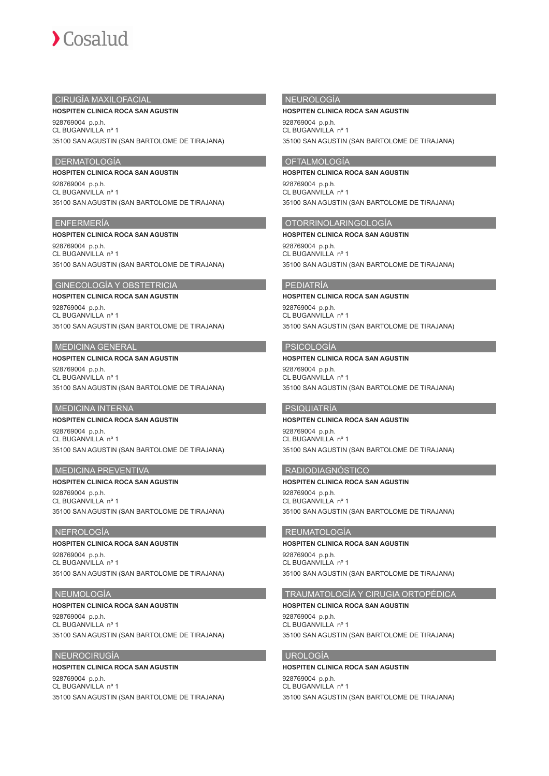

## CIRUGÍA MAXILOFACIAL

#### **HOSPITEN CLINICA ROCA SAN AGUSTIN**

928769004 p.p.h. CL BUGANVILLA nº 1 35100 SAN AGUSTIN (SAN BARTOLOME DE TIRAJANA)

# DERMATOLOGÍA

#### **HOSPITEN CLINICA ROCA SAN AGUSTIN**

928769004 p.p.h. CL BUGANVILLA nº 1 35100 SAN AGUSTIN (SAN BARTOLOME DE TIRAJANA)

#### ENFERMERÍA

#### **HOSPITEN CLINICA ROCA SAN AGUSTIN**

928769004 p.p.h. CL BUGANVILLA nº 1 35100 SAN AGUSTIN (SAN BARTOLOME DE TIRAJANA)

#### GINECOLOGÍA Y OBSTETRICIA

#### **HOSPITEN CLINICA ROCA SAN AGUSTIN**

928769004 p.p.h. CL BUGANVILLA nº 1 35100 SAN AGUSTIN (SAN BARTOLOME DE TIRAJANA)

### MEDICINA GENERAL

#### **HOSPITEN CLINICA ROCA SAN AGUSTIN** 928769004 p.p.h.

CL BUGANVILLA nº 1 35100 SAN AGUSTIN (SAN BARTOLOME DE TIRAJANA)

# MEDICINA INTERNA

# **HOSPITEN CLINICA ROCA SAN AGUSTIN**

928769004 p.p.h. CL BUGANVILLA nº 1 35100 SAN AGUSTIN (SAN BARTOLOME DE TIRAJANA)

## MEDICINA PREVENTIVA

**HOSPITEN CLINICA ROCA SAN AGUSTIN** 928769004 p.p.h. CL BUGANVILLA nº 1 35100 SAN AGUSTIN (SAN BARTOLOME DE TIRAJANA)

### NEFROLOGÍA

# **HOSPITEN CLINICA ROCA SAN AGUSTIN**

928769004 p.p.h. CL BUGANVILLA nº 1 35100 SAN AGUSTIN (SAN BARTOLOME DE TIRAJANA)

# **NEUMOLOGÍA**

#### **HOSPITEN CLINICA ROCA SAN AGUSTIN**

928769004 p.p.h. CL BUGANVILLA nº 1 35100 SAN AGUSTIN (SAN BARTOLOME DE TIRAJANA)

#### NEUROCIRUGÍA

#### **HOSPITEN CLINICA ROCA SAN AGUSTIN**

928769004 p.p.h. CL BUGANVILLA nº 1 35100 SAN AGUSTIN (SAN BARTOLOME DE TIRAJANA)

# NEUROLOGÍA

#### **HOSPITEN CLINICA ROCA SAN AGUSTIN**

928769004 p.p.h. CL BUGANVILLA nº 1 35100 SAN AGUSTIN (SAN BARTOLOME DE TIRAJANA)

## OFTALMOLOGÍA

#### **HOSPITEN CLINICA ROCA SAN AGUSTIN**

928769004 p.p.h. CL BUGANVILLA nº 1 35100 SAN AGUSTIN (SAN BARTOLOME DE TIRAJANA)

# OTORRINOLARINGOLOGÍA

**HOSPITEN CLINICA ROCA SAN AGUSTIN** 928769004 p.p.h. CL BUGANVILLA nº 1 35100 SAN AGUSTIN (SAN BARTOLOME DE TIRAJANA)

#### PEDIATRÍA

#### **HOSPITEN CLINICA ROCA SAN AGUSTIN** 928769004 p.p.h. CL BUGANVILLA nº 1 35100 SAN AGUSTIN (SAN BARTOLOME DE TIRAJANA)

# PSICOLOGÍA

#### **HOSPITEN CLINICA ROCA SAN AGUSTIN** 928769004 p.p.h. CL BUGANVILLA nº 1 35100 SAN AGUSTIN (SAN BARTOLOME DE TIRAJANA)

### PSIQUIATRÍA

**HOSPITEN CLINICA ROCA SAN AGUSTIN** 928769004 p.p.h. CL BUGANVILLA nº 1 35100 SAN AGUSTIN (SAN BARTOLOME DE TIRAJANA)

# RADIODIAGNÓSTICO

**HOSPITEN CLINICA ROCA SAN AGUSTIN** 928769004 p.p.h. CL BUGANVILLA nº 1 35100 SAN AGUSTIN (SAN BARTOLOME DE TIRAJANA)

# REUMATOLOGÍA

# **HOSPITEN CLINICA ROCA SAN AGUSTIN**

928769004 p.p.h. CL BUGANVILLA nº 1 35100 SAN AGUSTIN (SAN BARTOLOME DE TIRAJANA)

# TRAUMATOLOGÍA Y CIRUGIA ORTOPÉDICA

**HOSPITEN CLINICA ROCA SAN AGUSTIN** 928769004 p.p.h. CL BUGANVILLA nº 1 35100 SAN AGUSTIN (SAN BARTOLOME DE TIRAJANA)

# UROLOGÍA

#### **HOSPITEN CLINICA ROCA SAN AGUSTIN** 928769004 p.p.h. CL BUGANVILLA nº 1 35100 SAN AGUSTIN (SAN BARTOLOME DE TIRAJANA)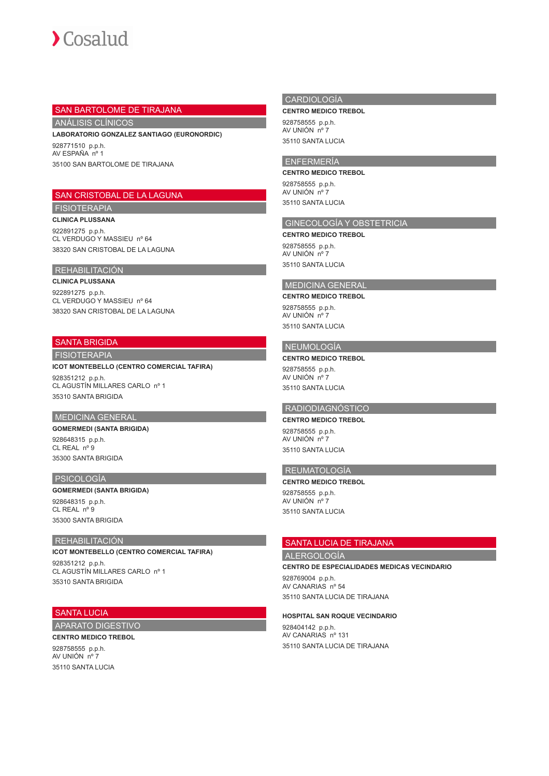### SAN BARTOLOME DE TIRAJANA

ANÁLISIS CLÍNICOS

**LABORATORIO GONZALEZ SANTIAGO (EURONORDIC)**

928771510 p.p.h. AV ESPAÑA nº 1 35100 SAN BARTOLOME DE TIRAJANA

# SAN CRISTOBAL DE LA LAGUNA

# FISIOTERAPIA

**CLINICA PLUSSANA**

922891275 p.p.h. CL VERDUGO Y MASSIEU nº 64 38320 SAN CRISTOBAL DE LA LAGUNA

#### REHABILITACIÓN

**CLINICA PLUSSANA** 922891275 p.p.h. CL VERDUGO Y MASSIEU nº 64 38320 SAN CRISTOBAL DE LA LAGUNA

# SANTA BRIGIDA

FISIOTERAPIA

#### **ICOT MONTEBELLO (CENTRO COMERCIAL TAFIRA)**

928351212 p.p.h. CL AGUSTÍN MILLARES CARLO nº 1 35310 SANTA BRIGIDA

# MEDICINA GENERAL

# **GOMERMEDI (SANTA BRIGIDA)**

928648315 p.p.h. CL REAL nº 9 35300 SANTA BRIGIDA

## PSICOLOGÍA

#### **GOMERMEDI (SANTA BRIGIDA)** 928648315 p.p.h. CL REAL nº 9

35300 SANTA BRIGIDA

## REHABILITACIÓN

**ICOT MONTEBELLO (CENTRO COMERCIAL TAFIRA)** 928351212 p.p.h. CL AGUSTÍN MILLARES CARLO nº 1 35310 SANTA BRIGIDA

#### SANTA LUCIA

# APARATO DIGESTIVO

**CENTRO MEDICO TREBOL** 928758555 p.p.h. AV UNIÓN nº 7 35110 SANTA LUCIA

### CARDIOLOGÍA

**CENTRO MEDICO TREBOL**

928758555 p.p.h. AV UNIÓN nº 7 35110 SANTA LUCIA

# ENFERMERÍA

**CENTRO MEDICO TREBOL**

928758555 p.p.h. AV UNIÓN nº 7 35110 SANTA LUCIA

# GINECOLOGÍA Y OBSTETRICIA

**CENTRO MEDICO TREBOL** 928758555 p.p.h. AV UNIÓN nº 7 35110 SANTA LUCIA

# MEDICINA GENERAL

#### **CENTRO MEDICO TREBOL**

928758555 p.p.h. AV UNIÓN nº 7 35110 SANTA LUCIA

# NEUMOLOGÍA

# **CENTRO MEDICO TREBOL** 928758555 p.p.h.

AV UNIÓN nº 7 35110 SANTA LUCIA

# RADIODIAGNÓSTICO

# **CENTRO MEDICO TREBOL** 928758555 p.p.h.

AV UNIÓN nº 7 35110 SANTA LUCIA

# REUMATOLOGÍA

**CENTRO MEDICO TREBOL** 928758555 p.p.h. AV UNIÓN nº 7 35110 SANTA LUCIA

# SANTA LUCIA DE TIRAJANA

### ALERGOLOGÍA

**CENTRO DE ESPECIALIDADES MEDICAS VECINDARIO**

928769004 p.p.h. AV CANARIAS nº 54 35110 SANTA LUCIA DE TIRAJANA

# **HOSPITAL SAN ROQUE VECINDARIO**

928404142 p.p.h. AV CANARIAS nº 131 35110 SANTA LUCIA DE TIRAJANA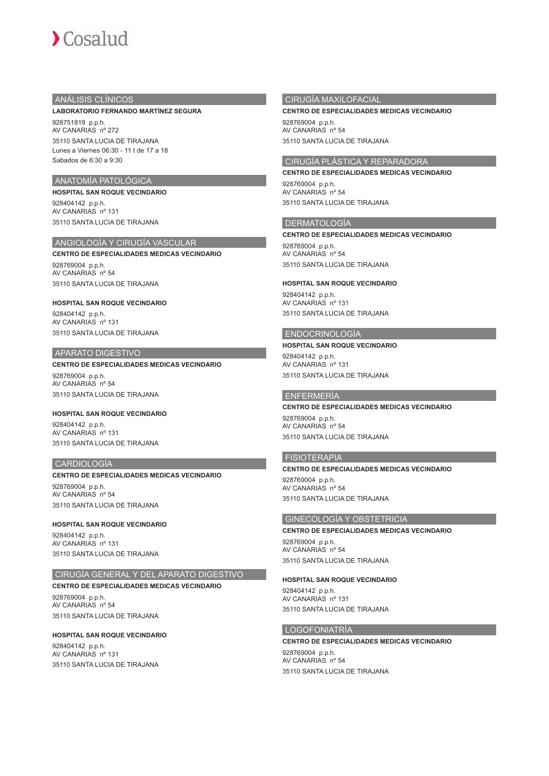# ANÁLISIS CLÍNICOS

#### **LABORATORIO FERNANDO MARTÍNEZ SEGURA**

928751819 p.p.h. AV CANARIAS nº 272 35110 SANTA LUCIA DE TIRAJANA Lunes a Viernes 06:30 - 11 t de 17 a 18 Sabados de 6:30 a 9:30

# ANATOMÍA PATOLÓGICA

**HOSPITAL SAN ROQUE VECINDARIO** 928404142 p.p.h. AV CANARIAS nº 131 35110 SANTA LUCIA DE TIRAJANA

# ANGIOLOGÍA Y CIRUGÍA VASCULAR

**CENTRO DE ESPECIALIDADES MEDICAS VECINDARIO** 928769004 p.p.h. AV CANARIAS nº 54

35110 SANTA LUCIA DE TIRAJANA **HOSPITAL SAN ROQUE VECINDARIO**

928404142 p.p.h. AV CANARIAS nº 131 35110 SANTA LUCIA DE TIRAJANA

#### APARATO DIGESTIVO

# **CENTRO DE ESPECIALIDADES MEDICAS VECINDARIO**

928769004 p.p.h. AV CANARIAS nº 54 35110 SANTA LUCIA DE TIRAJANA

### **HOSPITAL SAN ROQUE VECINDARIO** 928404142 p.p.h.

AV CANARIAS nº 131 35110 SANTA LUCIA DE TIRAJANA

# CARDIOLOGÍA

#### **CENTRO DE ESPECIALIDADES MEDICAS VECINDARIO**

928769004 p.p.h. AV CANARIAS nº 54 35110 SANTA LUCIA DE TIRAJANA

### **HOSPITAL SAN ROQUE VECINDARIO**

928404142 p.p.h. AV CANARIAS nº 131 35110 SANTA LUCIA DE TIRAJANA

# CIRUGÍA GENERAL Y DEL APARATO DIGESTIVO

# **CENTRO DE ESPECIALIDADES MEDICAS VECINDARIO**

928769004 p.p.h. AV CANARIAS nº 54 35110 SANTA LUCIA DE TIRAJANA

#### **HOSPITAL SAN ROQUE VECINDARIO**

928404142 p.p.h. AV CANARIAS nº 131 35110 SANTA LUCIA DE TIRAJANA

### CIRUGÍA MAXILOFACIAL

#### **CENTRO DE ESPECIALIDADES MEDICAS VECINDARIO**

928769004 p.p.h. AV CANARIAS nº 54 35110 SANTA LUCIA DE TIRAJANA

### CIRUGÍA PLÁSTICA Y REPARADORA

# **CENTRO DE ESPECIALIDADES MEDICAS VECINDARIO**

928769004 p.p.h. AV CANARIAS nº 54 35110 SANTA LUCIA DE TIRAJANA

# DERMATOLOGÍA

#### **CENTRO DE ESPECIALIDADES MEDICAS VECINDARIO**

928769004 p.p.h. AV CANARIAS nº 54 35110 SANTA LUCIA DE TIRAJANA

#### **HOSPITAL SAN ROQUE VECINDARIO**

928404142 p.p.h. AV CANARIAS nº 131 35110 SANTA LUCIA DE TIRAJANA

#### ENDOCRINOLOGÍA

# **HOSPITAL SAN ROQUE VECINDARIO**

928404142 p.p.h. AV CANARIAS nº 131 35110 SANTA LUCIA DE TIRAJANA

# ENFERMERÍA

#### **CENTRO DE ESPECIALIDADES MEDICAS VECINDARIO** 928769004 p.p.h. AV CANARIAS nº 54 35110 SANTA LUCIA DE TIRAJANA

# **FISIOTERAPIA**

# **CENTRO DE ESPECIALIDADES MEDICAS VECINDARIO** 928769004 p.p.h. AV CANARIAS nº 54 35110 SANTA LUCIA DE TIRAJANA

#### GINECOLOGÍA Y OBSTETRICIA

**CENTRO DE ESPECIALIDADES MEDICAS VECINDARIO** 928769004 p.p.h. AV CANARIAS nº 54

35110 SANTA LUCIA DE TIRAJANA

### **HOSPITAL SAN ROQUE VECINDARIO**

928404142 p.p.h. AV CANARIAS nº 131 35110 SANTA LUCIA DE TIRAJANA

# LOGOFONIATRÍA

**CENTRO DE ESPECIALIDADES MEDICAS VECINDARIO** 928769004 p.p.h. AV CANARIAS nº 54 35110 SANTA LUCIA DE TIRAJANA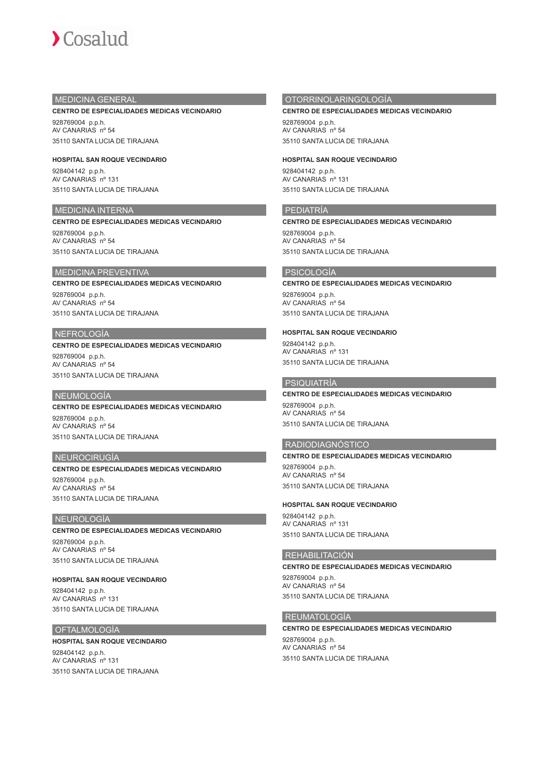# MEDICINA GENERAL

#### **CENTRO DE ESPECIALIDADES MEDICAS VECINDARIO**

928769004 p.p.h. AV CANARIAS nº 54 35110 SANTA LUCIA DE TIRAJANA

**HOSPITAL SAN ROQUE VECINDARIO** 928404142 p.p.h. AV CANARIAS nº 131 35110 SANTA LUCIA DE TIRAJANA

## MEDICINA INTERNA

#### **CENTRO DE ESPECIALIDADES MEDICAS VECINDARIO**

928769004 p.p.h. AV CANARIAS nº 54 35110 SANTA LUCIA DE TIRAJANA

#### MEDICINA PREVENTIVA

**CENTRO DE ESPECIALIDADES MEDICAS VECINDARIO**

928769004 p.p.h. AV CANARIAS nº 54 35110 SANTA LUCIA DE TIRAJANA

#### NEFROLOGÍA

# **CENTRO DE ESPECIALIDADES MEDICAS VECINDARIO**

928769004 p.p.h. AV CANARIAS nº 54 35110 SANTA LUCIA DE TIRAJANA

#### NEUMOLOGÍA

**CENTRO DE ESPECIALIDADES MEDICAS VECINDARIO** 928769004 p.p.h. AV CANARIAS nº 54 35110 SANTA LUCIA DE TIRAJANA

### NEUROCIRUGÍA

**CENTRO DE ESPECIALIDADES MEDICAS VECINDARIO** 928769004 p.p.h. AV CANARIAS nº 54 35110 SANTA LUCIA DE TIRAJANA

#### NEUROLOGÍA

**CENTRO DE ESPECIALIDADES MEDICAS VECINDARIO** 928769004 p.p.h. AV CANARIAS nº 54 35110 SANTA LUCIA DE TIRAJANA

**HOSPITAL SAN ROQUE VECINDARIO** 928404142 p.p.h. AV CANARIAS nº 131

35110 SANTA LUCIA DE TIRAJANA

# **OFTALMOLOGÍA**

#### **HOSPITAL SAN ROQUE VECINDARIO**

928404142 p.p.h. AV CANARIAS nº 131 35110 SANTA LUCIA DE TIRAJANA

# OTORRINOLARINGOLOGÍA

#### **CENTRO DE ESPECIALIDADES MEDICAS VECINDARIO**

928769004 p.p.h. AV CANARIAS nº 54 35110 SANTA LUCIA DE TIRAJANA

**HOSPITAL SAN ROQUE VECINDARIO**

928404142 p.p.h. AV CANARIAS nº 131 35110 SANTA LUCIA DE TIRAJANA

#### PEDIATRÍA

**CENTRO DE ESPECIALIDADES MEDICAS VECINDARIO** 928769004 p.p.h.

AV CANARIAS nº 54 35110 SANTA LUCIA DE TIRAJANA

#### PSICOLOGÍA

#### **CENTRO DE ESPECIALIDADES MEDICAS VECINDARIO**

928769004 p.p.h. AV CANARIAS nº 54 35110 SANTA LUCIA DE TIRAJANA

#### **HOSPITAL SAN ROQUE VECINDARIO**

928404142 p.p.h. AV CANARIAS nº 131 35110 SANTA LUCIA DE TIRAJANA

# PSIQUIATRÍA

# **CENTRO DE ESPECIALIDADES MEDICAS VECINDARIO**

928769004 p.p.h. AV CANARIAS nº 54 35110 SANTA LUCIA DE TIRAJANA

#### RADIODIAGNÓSTICO

# **CENTRO DE ESPECIALIDADES MEDICAS VECINDARIO** 928769004 p.p.h.

AV CANARIAS nº 54 35110 SANTA LUCIA DE TIRAJANA

#### **HOSPITAL SAN ROQUE VECINDARIO**

928404142 p.p.h. AV CANARIAS nº 131 35110 SANTA LUCIA DE TIRAJANA

#### REHABILITACIÓN

**CENTRO DE ESPECIALIDADES MEDICAS VECINDARIO** 928769004 p.p.h. AV CANARIAS nº 54 35110 SANTA LUCIA DE TIRAJANA

### REUMATOLOGÍA

**CENTRO DE ESPECIALIDADES MEDICAS VECINDARIO** 928769004 p.p.h. AV CANARIAS nº 54 35110 SANTA LUCIA DE TIRAJANA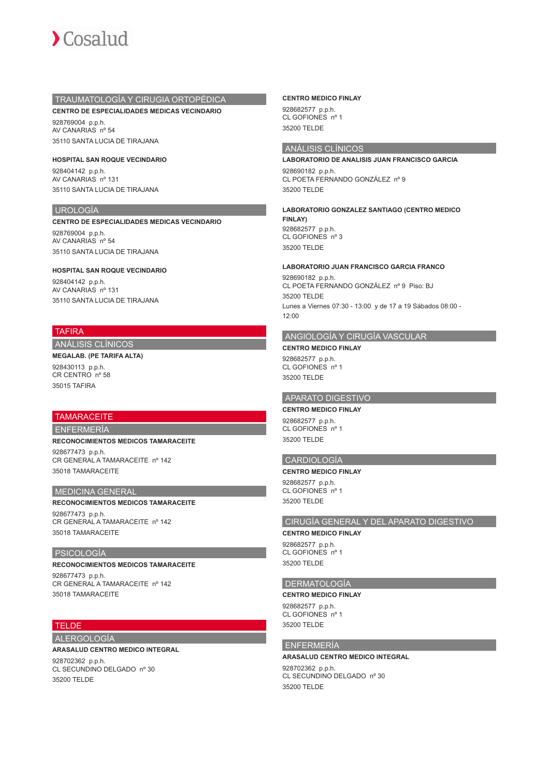

## TRAUMATOLOGÍA Y CIRUGIA ORTOPÉDICA

**CENTRO DE ESPECIALIDADES MEDICAS VECINDARIO**

928769004 p.p.h. AV CANARIAS nº 54 35110 SANTA LUCIA DE TIRAJANA

**HOSPITAL SAN ROQUE VECINDARIO** 928404142 p.p.h. AV CANARIAS nº 131 35110 SANTA LUCIA DE TIRAJANA

## UROLOGÍA

**CENTRO DE ESPECIALIDADES MEDICAS VECINDARIO**

928769004 p.p.h. AV CANARIAS nº 54 35110 SANTA LUCIA DE TIRAJANA

#### **HOSPITAL SAN ROQUE VECINDARIO**

928404142 p.p.h. AV CANARIAS nº 131 35110 SANTA LUCIA DE TIRAJANA

# TAFIRA

ANÁLISIS CLÍNICOS

**MEGALAB. (PE TARIFA ALTA)** 928430113 p.p.h. CR CENTRO nº 58 35015 TAFIRA

# **TAMARACEITE**

ENFERMERÍA

**RECONOCIMIENTOS MEDICOS TAMARACEITE** 928677473 p.p.h. CR GENERAL A TAMARACEITE nº 142 35018 TAMARACEITE

# MEDICINA GENERAL

**RECONOCIMIENTOS MEDICOS TAMARACEITE** 928677473 p.p.h. CR GENERAL A TAMARACEITE nº 142 35018 TAMARACEITE

## PSICOLOGÍA

**RECONOCIMIENTOS MEDICOS TAMARACEITE** 928677473 p.p.h. CR GENERAL A TAMARACEITE nº 142 35018 TAMARACEITE

# **TELDE**

ALERGOLOGÍA

**ARASALUD CENTRO MEDICO INTEGRAL**

928702362 p.p.h. CL SECUNDINO DELGADO nº 30 35200 TELDE

#### **CENTRO MEDICO FINLAY**

928682577 p.p.h. CL GOFIONES nº 1 35200 TELDE

# ANÁLISIS CLÍNICOS

**LABORATORIO DE ANALISIS JUAN FRANCISCO GARCIA** 928690182 p.p.h. CL POETA FERNANDO GONZÁLEZ nº 9 35200 TELDE

**LABORATORIO GONZALEZ SANTIAGO (CENTRO MEDICO FINLAY)** 928682577 p.p.h.

CL GOFIONES nº 3 35200 TELDE

#### **LABORATORIO JUAN FRANCISCO GARCIA FRANCO**

928690182 p.p.h. CL POETA FERNANDO GONZÁLEZ nº 9 Piso: BJ 35200 TELDE Lunes a Viernes 07:30 - 13:00 y de 17 a 19 Sábados 08:00 - 12:00

# ANGIOLOGÍA Y CIRUGÍA VASCULAR

**CENTRO MEDICO FINLAY**

928682577 p.p.h. CL GOFIONES nº 1 35200 TELDE

# APARATO DIGESTIVO

**CENTRO MEDICO FINLAY** 928682577 p.p.h. CL GOFIONES nº 1 35200 TELDE

#### CARDIOLOGÍA

**CENTRO MEDICO FINLAY** 928682577 p.p.h. CL GOFIONES nº 1 35200 TELDE

# CIRUGÍA GENERAL Y DEL APARATO DIGESTIVO

**CENTRO MEDICO FINLAY** 928682577 p.p.h. CL GOFIONES nº 1 35200 TELDE

## DERMATOLOGÍA

**CENTRO MEDICO FINLAY** 928682577 p.p.h. CL GOFIONES nº 1 35200 TELDE

#### ENFERMERÍA

# **ARASALUD CENTRO MEDICO INTEGRAL** 928702362 p.p.h. CL SECUNDINO DELGADO nº 30

35200 TELDE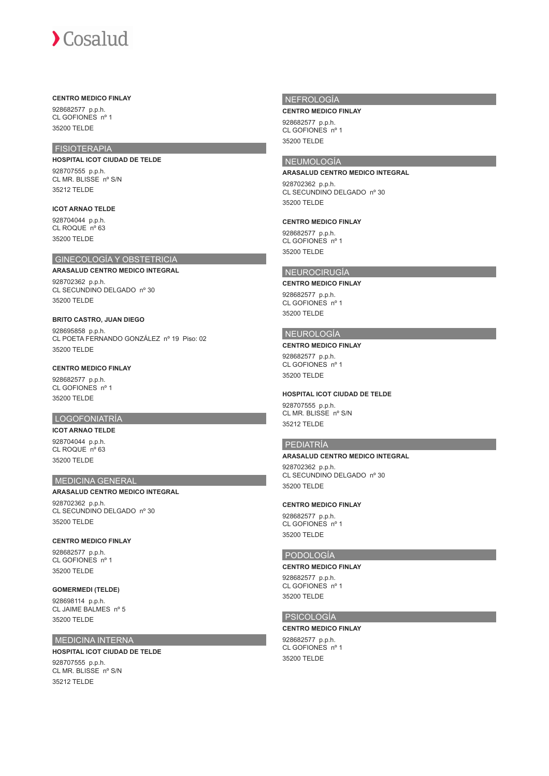# $\sum$  Cosalud

#### **CENTRO MEDICO FINLAY**

928682577 p.p.h. CL GOFIONES nº 1 35200 TELDE

# FISIOTERAPIA

**HOSPITAL ICOT CIUDAD DE TELDE** 928707555 p.p.h.

CL MR. BLISSE nº S/N 35212 TELDE

# **ICOT ARNAO TELDE**

928704044 p.p.h. CL ROQUE nº 63 35200 TELDE

# GINECOLOGÍA Y OBSTETRICIA

**ARASALUD CENTRO MEDICO INTEGRAL** 928702362 p.p.h. CL SECUNDINO DELGADO nº 30 35200 TELDE

# **BRITO CASTRO, JUAN DIEGO**

928695858 p.p.h. CL POETA FERNANDO GONZÁLEZ nº 19 Piso: 02 35200 TELDE

## **CENTRO MEDICO FINLAY**

928682577 p.p.h. CL GOFIONES nº 1 35200 TELDE

# LOGOFONIATRÍA

**ICOT ARNAO TELDE** 928704044 p.p.h. CL ROQUE nº 63 35200 TELDE

# MEDICINA GENERAL

#### **ARASALUD CENTRO MEDICO INTEGRAL**

928702362 p.p.h. CL SECUNDINO DELGADO nº 30 35200 TELDE

#### **CENTRO MEDICO FINLAY**

928682577 p.p.h. CL GOFIONES nº 1 35200 TELDE

# **GOMERMEDI (TELDE)**

928698114 p.p.h. CL JAIME BALMES nº 5 35200 TELDE

# MEDICINA INTERNA

# **HOSPITAL ICOT CIUDAD DE TELDE**

928707555 p.p.h. CL MR. BLISSE nº S/N 35212 TELDE

## NEFROLOGÍA

#### **CENTRO MEDICO FINLAY**

928682577 p.p.h. CL GOFIONES nº 1 35200 TELDE

# **NEUMOLOGÍA**

#### **ARASALUD CENTRO MEDICO INTEGRAL**

928702362 p.p.h. CL SECUNDINO DELGADO nº 30 35200 TELDE

#### **CENTRO MEDICO FINLAY**

928682577 p.p.h. CL GOFIONES nº 1 35200 TELDE

#### NEUROCIRUGÍA

#### **CENTRO MEDICO FINLAY**

928682577 p.p.h. CL GOFIONES nº 1 35200 TELDE

#### NEUROLOGÍA

#### **CENTRO MEDICO FINLAY**

928682577 p.p.h. CL GOFIONES nº 1 35200 TELDE

#### **HOSPITAL ICOT CIUDAD DE TELDE**

928707555 p.p.h. CL MR. BLISSE nº S/N 35212 TELDE

### PEDIATRÍA

#### **ARASALUD CENTRO MEDICO INTEGRAL**

928702362 p.p.h. CL SECUNDINO DELGADO nº 30 35200 TELDE

#### **CENTRO MEDICO FINLAY**

928682577 p.p.h. CL GOFIONES nº 1 35200 TELDE

#### PODOLOGÍA

**CENTRO MEDICO FINLAY** 928682577 p.p.h. CL GOFIONES nº 1 35200 TELDE

#### PSICOLOGÍA

**CENTRO MEDICO FINLAY** 928682577 p.p.h. CL GOFIONES nº 1 35200 TELDE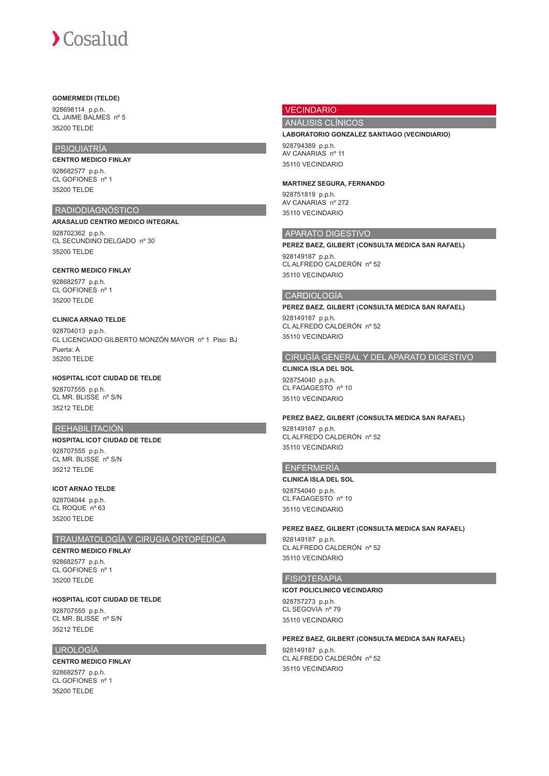#### **GOMERMEDI (TELDE)**

928698114 p.p.h. CL JAIME BALMES nº 5 35200 TELDE

# PSIQUIATRÍA

**CENTRO MEDICO FINLAY** 928682577 p.p.h.

CL GOFIONES nº 1 35200 TELDE

# RADIODIAGNÓSTICO

**ARASALUD CENTRO MEDICO INTEGRAL** 928702362 p.p.h. CL SECUNDINO DELGADO nº 30 35200 TELDE

## **CENTRO MEDICO FINLAY**

928682577 p.p.h. CL GOFIONES nº 1 35200 TELDE

# **CLINICA ARNAO TELDE**

928704013 p.p.h. CL LICENCIADO GILBERTO MONZÓN MAYOR nº 1 Piso: BJ Puerta: A 35200 TELDE

## **HOSPITAL ICOT CIUDAD DE TELDE**

928707555 p.p.h. CL MR. BLISSE nº S/N 35212 TELDE

# REHABILITACIÓN

#### **HOSPITAL ICOT CIUDAD DE TELDE**

928707555 p.p.h. CL MR. BLISSE nº S/N 35212 TELDE

# **ICOT ARNAO TELDE**

928704044 p.p.h. CL ROQUE nº 63 35200 TELDE

# TRAUMATOLOGÍA Y CIRUGIA ORTOPÉDICA

# **CENTRO MEDICO FINLAY**

928682577 p.p.h. CL GOFIONES nº 1 35200 TELDE

# **HOSPITAL ICOT CIUDAD DE TELDE**

928707555 p.p.h. CL MR. BLISSE nº S/N 35212 TELDE

# UROLOGÍA

#### **CENTRO MEDICO FINLAY** 928682577 p.p.h. CL GOFIONES nº 1 35200 TELDE

# VECINDARIO

# ANÁLISIS CLÍNICOS

#### **LABORATORIO GONZALEZ SANTIAGO (VECINDIARIO)**

928794389 p.p.h. AV CANARIAS nº 11 35110 VECINDARIO

#### **MARTINEZ SEGURA, FERNANDO**

928751819 p.p.h. AV CANARIAS nº 272 35110 VECINDARIO

### APARATO DIGESTIVO

#### **PEREZ BAEZ, GILBERT (CONSULTA MEDICA SAN RAFAEL)**

928149187 p.p.h. CL ALFREDO CALDERÓN nº 52 35110 VECINDARIO

#### CARDIOLOGÍA

**PEREZ BAEZ, GILBERT (CONSULTA MEDICA SAN RAFAEL)** 928149187 p.p.h. CL ALFREDO CALDERÓN nº 52 35110 VECINDARIO

# CIRUGÍA GENERAL Y DEL APARATO DIGESTIVO

**CLINICA ISLA DEL SOL** 928754040 p.p.h. CL FAGAGESTO nº 10 35110 VECINDARIO

#### **PEREZ BAEZ, GILBERT (CONSULTA MEDICA SAN RAFAEL)**

928149187 p.p.h. CL ALFREDO CALDERÓN nº 52 35110 VECINDARIO

## ENFERMERÍA

**CLINICA ISLA DEL SOL** 928754040 p.p.h. CL FAGAGESTO nº 10 35110 VECINDARIO

#### **PEREZ BAEZ, GILBERT (CONSULTA MEDICA SAN RAFAEL)**

928149187 p.p.h. CL ALFREDO CALDERÓN nº 52 35110 VECINDARIO

# FISIOTERAPIA

#### **ICOT POLICLINICO VECINDARIO**

928757273 p.p.h. CL SEGOVIA nº 79 35110 VECINDARIO

# **PEREZ BAEZ, GILBERT (CONSULTA MEDICA SAN RAFAEL)**

928149187 p.p.h. CL ALFREDO CALDERÓN nº 52 35110 VECINDARIO